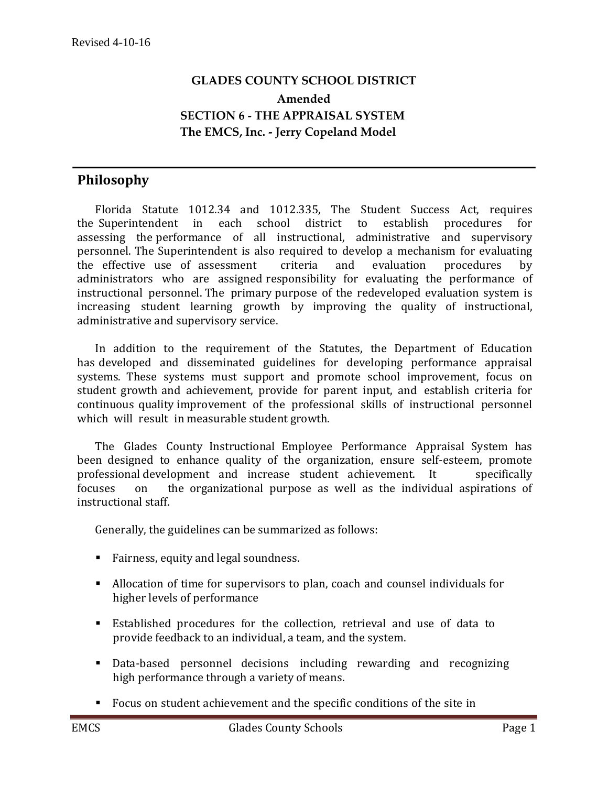# **GLADES COUNTY SCHOOL DISTRICT Amended SECTION 6 - THE APPRAISAL SYSTEM The EMCS, Inc. - Jerry Copeland Model**

### **Philosophy**

Florida Statute 1012.34 and 1012.335, The Student Success Act, requires Superintendent in each school district to establish procedures for the Superintendent in each school district assessing the performance of all instructional, administrative and supervisory personnel. The Superintendent is also required to develop a mechanism for evaluating<br>the effective use of assessment criteria and evaluation procedures by the effective use of assessment administrators who are assigned responsibility for evaluating the performance of instructional personnel. The primary purpose of the redeveloped evaluation system is increasing student learning growth by improving the quality of instructional, administrative and supervisory service.

In addition to the requirement of the Statutes, the Department of Education has developed and disseminated guidelines for developing performance appraisal systems. These systems must support and promote school improvement, focus on student growth and achievement, provide for parent input, and establish criteria for continuous quality improvement of the professional skills of instructional personnel which will result in measurable student growth.

The Glades County Instructional Employee Performance Appraisal System has been designed to enhance quality of the organization, ensure self-esteem, promote professional development and increase student achievement. It specifically professional development and increase student achievement. It focuses on the organizational nurnose as well as the individu the organizational purpose as well as the individual aspirations of instructional staff.

Generally, the guidelines can be summarized as follows:

- Fairness, equity and legal soundness.
- Allocation of time for supervisors to plan, coach and counsel individuals for higher levels of performance
- Established procedures for the collection, retrieval and use of data to provide feedback to an individual, a team, and the system.
- Data-based personnel decisions including rewarding and recognizing high performance through a variety of means.
- Focus on student achievement and the specific conditions of the site in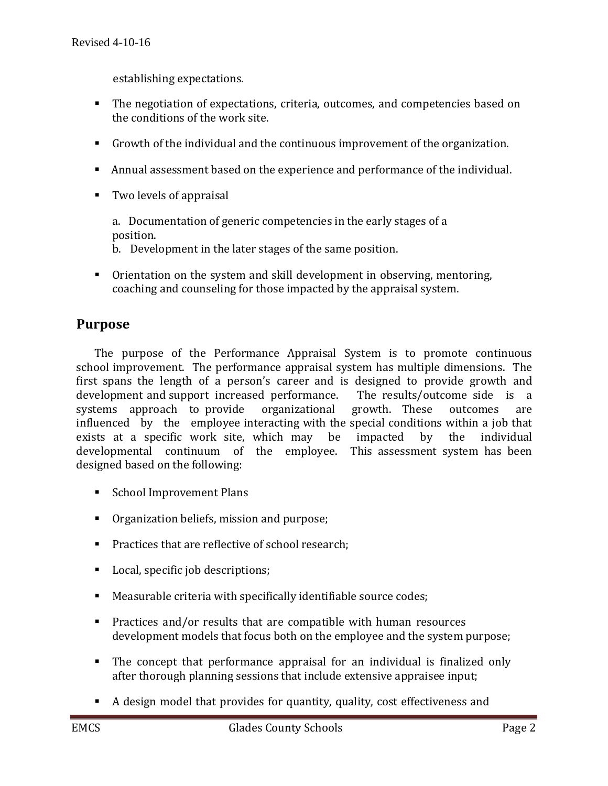establishing expectations.

- The negotiation of expectations, criteria, outcomes, and competencies based on the conditions of the work site.
- Growth of the individual and the continuous improvement of the organization.
- Annual assessment based on the experience and performance of the individual.
- Two levels of appraisal

a. Documentation of generic competencies in the early stages of a position.

b. Development in the later stages of the same position.

 Orientation on the system and skill development in observing, mentoring, coaching and counseling for those impacted by the appraisal system.

# **Purpose**

The purpose of the Performance Appraisal System is to promote continuous school improvement. The performance appraisal system has multiple dimensions. The first spans the length of a person's career and is designed to provide growth and development and support increased performance. The results/outcome side is a development and support increased performance. The results/outcome side is a<br>systems approach to provide organizational growth. These outcomes are systems approach to provide influenced by the employee interacting with the special conditions within a job that exists at a specific work site, which may be impacted by the individual exists at a specific work site, which may be developmental continuum of the employee. This assessment system has been designed based on the following:

- School Improvement Plans
- **•** Organization beliefs, mission and purpose;
- **Practices that are reflective of school research;**
- Local, specific job descriptions;
- Measurable criteria with specifically identifiable source codes;
- **Practices and/or results that are compatible with human resources** development models that focus both on the employee and the system purpose;
- The concept that performance appraisal for an individual is finalized only after thorough planning sessions that include extensive appraisee input;
- A design model that provides for quantity, quality, cost effectiveness and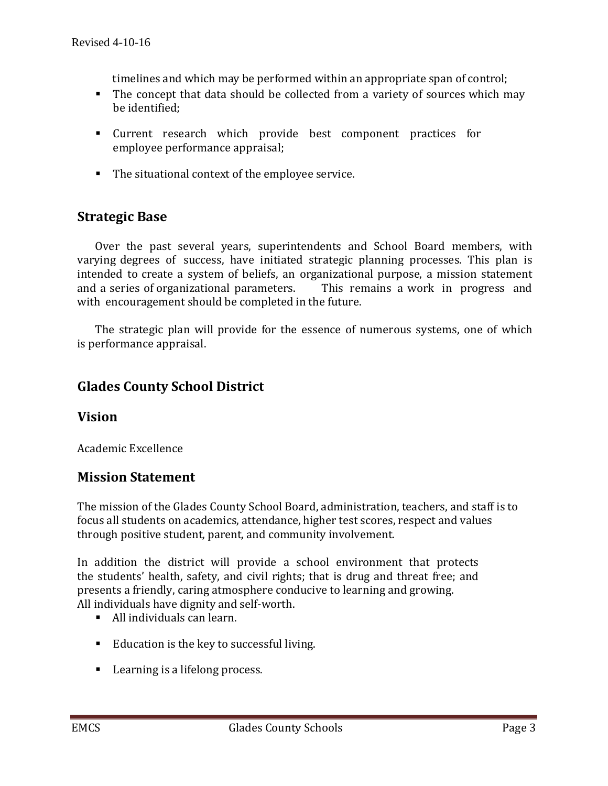timelines and which may be performed within an appropriate span of control;

- The concept that data should be collected from a variety of sources which may be identified;
- Current research which provide best component practices for employee performance appraisal;
- The situational context of the employee service.

# **Strategic Base**

Over the past several years, superintendents and School Board members, with varying degrees of success, have initiated strategic planning processes. This plan is intended to create a system of beliefs, an organizational purpose, a mission statement and a series of organizational parameters. This remains a work in progress and and a series of organizational parameters. with encouragement should be completed in the future.

The strategic plan will provide for the essence of numerous systems, one of which is performance appraisal.

# **Glades County School District**

### **Vision**

Academic Excellence

### **Mission Statement**

The mission of the Glades County School Board, administration, teachers, and staff is to focus all students on academics, attendance, higher test scores, respect and values through positive student, parent, and community involvement.

In addition the district will provide a school environment that protects the students' health, safety, and civil rights; that is drug and threat free; and presents a friendly, caring atmosphere conducive to learning and growing. All individuals have dignity and self-worth.

- All individuals can learn.
- Education is the key to successful living.
- **Learning is a lifelong process.**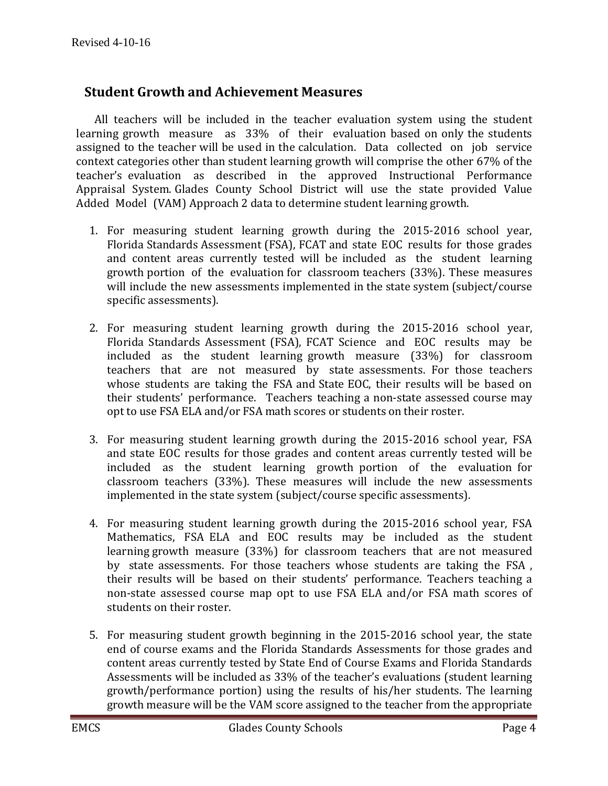# **Student Growth and Achievement Measures**

All teachers will be included in the teacher evaluation system using the student learning growth measure as 33% of their evaluation based on only the students assigned to the teacher will be used in the calculation. Data collected on job service context categories other than student learning growth will comprise the other 67% of the teacher's evaluation as described in the approved Instructional Performance Appraisal System. Glades County School District will use the state provided Value Added Model (VAM) Approach 2 data to determine student learning growth.

- 1. For measuring student learning growth during the 2015-2016 school year, Florida Standards Assessment (FSA), FCAT and state EOC results for those grades and content areas currently tested will be included as the student learning growth portion of the evaluation for classroom teachers (33%). These measures will include the new assessments implemented in the state system (subject/course specific assessments).
- 2. For measuring student learning growth during the 2015-2016 school year, Florida Standards Assessment (FSA), FCAT Science and EOC results may be included as the student learning growth measure (33%) for classroom teachers that are not measured by state assessments. For those teachers whose students are taking the FSA and State EOC, their results will be based on their students' performance. Teachers teaching a non-state assessed course may opt to use FSA ELA and/or FSA math scores or students on their roster.
- 3. For measuring student learning growth during the 2015-2016 school year, FSA and state EOC results for those grades and content areas currently tested will be included as the student learning growth portion of the evaluation for classroom teachers (33%). These measures will include the new assessments implemented in the state system (subject/course specific assessments).
- 4. For measuring student learning growth during the 2015-2016 school year, FSA Mathematics, FSA ELA and EOC results may be included as the student learning growth measure (33%) for classroom teachers that are not measured by state assessments. For those teachers whose students are taking the FSA , their results will be based on their students' performance. Teachers teaching a non-state assessed course map opt to use FSA ELA and/or FSA math scores of students on their roster.
- 5. For measuring student growth beginning in the 2015-2016 school year, the state end of course exams and the Florida Standards Assessments for those grades and content areas currently tested by State End of Course Exams and Florida Standards Assessments will be included as 33% of the teacher's evaluations (student learning growth/performance portion) using the results of his/her students. The learning growth measure will be the VAM score assigned to the teacher from the appropriate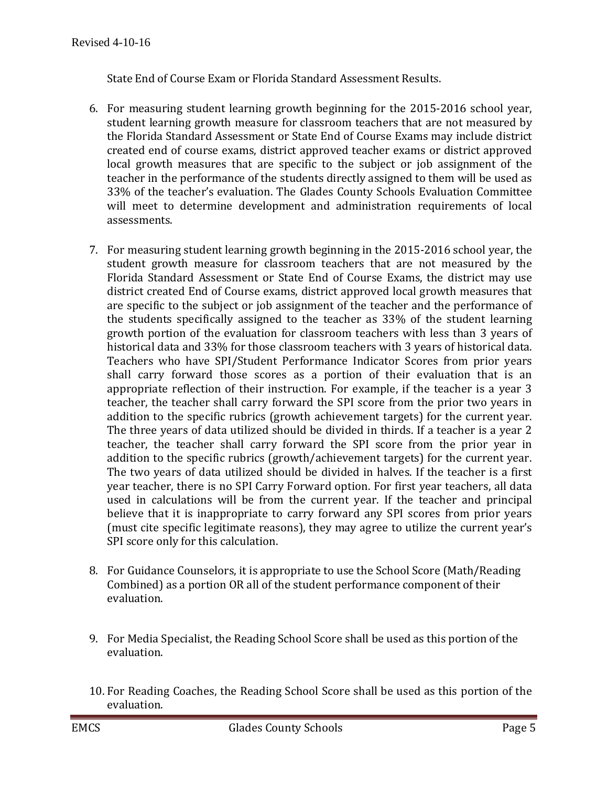State End of Course Exam or Florida Standard Assessment Results.

- 6. For measuring student learning growth beginning for the 2015-2016 school year, student learning growth measure for classroom teachers that are not measured by the Florida Standard Assessment or State End of Course Exams may include district created end of course exams, district approved teacher exams or district approved local growth measures that are specific to the subject or job assignment of the teacher in the performance of the students directly assigned to them will be used as 33% of the teacher's evaluation. The Glades County Schools Evaluation Committee will meet to determine development and administration requirements of local assessments.
- 7. For measuring student learning growth beginning in the 2015-2016 school year, the student growth measure for classroom teachers that are not measured by the Florida Standard Assessment or State End of Course Exams, the district may use district created End of Course exams, district approved local growth measures that are specific to the subject or job assignment of the teacher and the performance of the students specifically assigned to the teacher as 33% of the student learning growth portion of the evaluation for classroom teachers with less than 3 years of historical data and 33% for those classroom teachers with 3 years of historical data. Teachers who have SPI/Student Performance Indicator Scores from prior years shall carry forward those scores as a portion of their evaluation that is an appropriate reflection of their instruction. For example, if the teacher is a year 3 teacher, the teacher shall carry forward the SPI score from the prior two years in addition to the specific rubrics (growth achievement targets) for the current year. The three years of data utilized should be divided in thirds. If a teacher is a year 2 teacher, the teacher shall carry forward the SPI score from the prior year in addition to the specific rubrics (growth/achievement targets) for the current year. The two years of data utilized should be divided in halves. If the teacher is a first year teacher, there is no SPI Carry Forward option. For first year teachers, all data used in calculations will be from the current year. If the teacher and principal believe that it is inappropriate to carry forward any SPI scores from prior years (must cite specific legitimate reasons), they may agree to utilize the current year's SPI score only for this calculation.
- 8. For Guidance Counselors, it is appropriate to use the School Score (Math/Reading Combined) as a portion OR all of the student performance component of their evaluation.
- 9. For Media Specialist, the Reading School Score shall be used as this portion of the evaluation.
- 10. For Reading Coaches, the Reading School Score shall be used as this portion of the evaluation.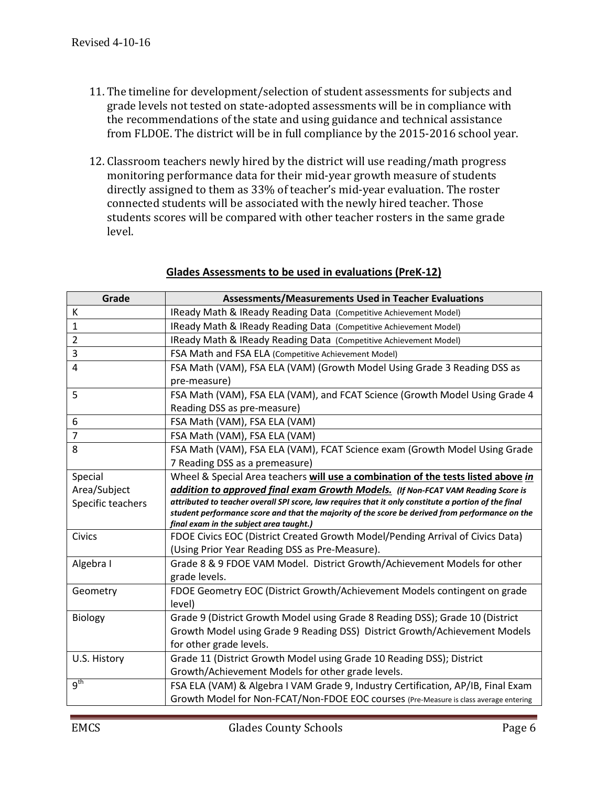- 11. The timeline for development/selection of student assessments for subjects and grade levels not tested on state-adopted assessments will be in compliance with the recommendations of the state and using guidance and technical assistance from FLDOE. The district will be in full compliance by the 2015-2016 school year.
- 12. Classroom teachers newly hired by the district will use reading/math progress monitoring performance data for their mid-year growth measure of students directly assigned to them as 33% of teacher's mid-year evaluation. The roster connected students will be associated with the newly hired teacher. Those students scores will be compared with other teacher rosters in the same grade level.

| Grade             | <b>Assessments/Measurements Used in Teacher Evaluations</b>                                                                                |
|-------------------|--------------------------------------------------------------------------------------------------------------------------------------------|
| К                 | IReady Math & IReady Reading Data (Competitive Achievement Model)                                                                          |
| $\mathbf{1}$      | IReady Math & IReady Reading Data (Competitive Achievement Model)                                                                          |
| $\overline{2}$    | IReady Math & IReady Reading Data (Competitive Achievement Model)                                                                          |
| 3                 | FSA Math and FSA ELA (Competitive Achievement Model)                                                                                       |
| $\overline{4}$    | FSA Math (VAM), FSA ELA (VAM) (Growth Model Using Grade 3 Reading DSS as                                                                   |
|                   | pre-measure)                                                                                                                               |
| 5                 | FSA Math (VAM), FSA ELA (VAM), and FCAT Science (Growth Model Using Grade 4                                                                |
|                   | Reading DSS as pre-measure)                                                                                                                |
| 6                 | FSA Math (VAM), FSA ELA (VAM)                                                                                                              |
| $\overline{7}$    | FSA Math (VAM), FSA ELA (VAM)                                                                                                              |
| 8                 | FSA Math (VAM), FSA ELA (VAM), FCAT Science exam (Growth Model Using Grade                                                                 |
|                   | 7 Reading DSS as a premeasure)                                                                                                             |
| Special           | Wheel & Special Area teachers will use a combination of the tests listed above in                                                          |
| Area/Subject      | addition to approved final exam Growth Models. (If Non-FCAT VAM Reading Score is                                                           |
| Specific teachers | attributed to teacher overall SPI score, law requires that it only constitute a portion of the final                                       |
|                   | student performance score and that the majority of the score be derived from performance on the<br>final exam in the subject area taught.) |
| Civics            | FDOE Civics EOC (District Created Growth Model/Pending Arrival of Civics Data)                                                             |
|                   | (Using Prior Year Reading DSS as Pre-Measure).                                                                                             |
| Algebra I         | Grade 8 & 9 FDOE VAM Model. District Growth/Achievement Models for other                                                                   |
|                   | grade levels.                                                                                                                              |
| Geometry          | FDOE Geometry EOC (District Growth/Achievement Models contingent on grade                                                                  |
|                   | level)                                                                                                                                     |
| Biology           | Grade 9 (District Growth Model using Grade 8 Reading DSS); Grade 10 (District                                                              |
|                   | Growth Model using Grade 9 Reading DSS) District Growth/Achievement Models                                                                 |
|                   | for other grade levels.                                                                                                                    |
| U.S. History      | Grade 11 (District Growth Model using Grade 10 Reading DSS); District                                                                      |
|                   | Growth/Achievement Models for other grade levels.                                                                                          |
| $q^{th}$          | FSA ELA (VAM) & Algebra I VAM Grade 9, Industry Certification, AP/IB, Final Exam                                                           |
|                   | Growth Model for Non-FCAT/Non-FDOE EOC courses (Pre-Measure is class average entering                                                      |
|                   |                                                                                                                                            |

### **Glades Assessments to be used in evaluations (PreK-12)**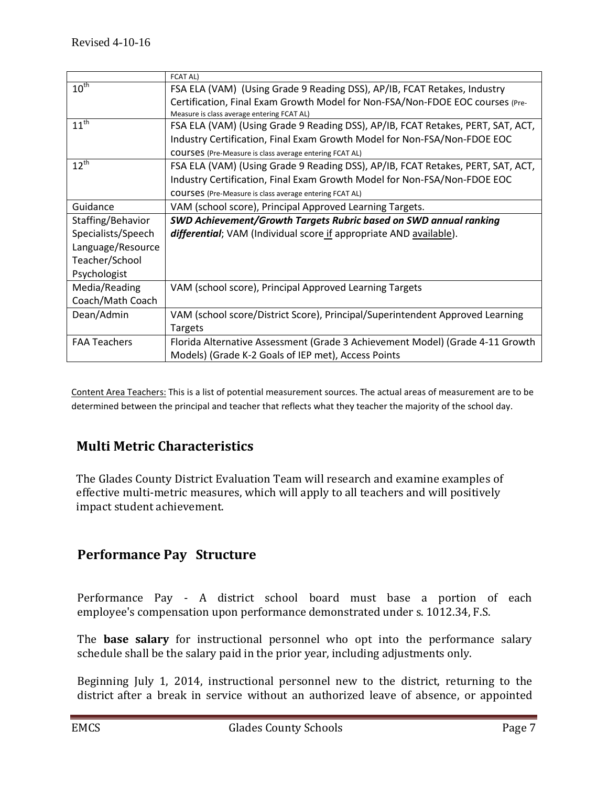|                     | <b>FCAT AL)</b>                                                                 |
|---------------------|---------------------------------------------------------------------------------|
| $10^{\text{th}}$    | FSA ELA (VAM) (Using Grade 9 Reading DSS), AP/IB, FCAT Retakes, Industry        |
|                     | Certification, Final Exam Growth Model for Non-FSA/Non-FDOE EOC courses (Pre-   |
|                     | Measure is class average entering FCAT AL)                                      |
| $11^{\text{th}}$    | FSA ELA (VAM) (Using Grade 9 Reading DSS), AP/IB, FCAT Retakes, PERT, SAT, ACT, |
|                     | Industry Certification, Final Exam Growth Model for Non-FSA/Non-FDOE EOC        |
|                     | COUISES (Pre-Measure is class average entering FCAT AL)                         |
| $12^{\text{th}}$    | FSA ELA (VAM) (Using Grade 9 Reading DSS), AP/IB, FCAT Retakes, PERT, SAT, ACT, |
|                     | Industry Certification, Final Exam Growth Model for Non-FSA/Non-FDOE EOC        |
|                     | COUISES (Pre-Measure is class average entering FCAT AL)                         |
| Guidance            | VAM (school score), Principal Approved Learning Targets.                        |
| Staffing/Behavior   | <b>SWD Achievement/Growth Targets Rubric based on SWD annual ranking</b>        |
| Specialists/Speech  | differential; VAM (Individual score if appropriate AND available).              |
| Language/Resource   |                                                                                 |
| Teacher/School      |                                                                                 |
| Psychologist        |                                                                                 |
| Media/Reading       | VAM (school score), Principal Approved Learning Targets                         |
| Coach/Math Coach    |                                                                                 |
| Dean/Admin          | VAM (school score/District Score), Principal/Superintendent Approved Learning   |
|                     | <b>Targets</b>                                                                  |
| <b>FAA Teachers</b> | Florida Alternative Assessment (Grade 3 Achievement Model) (Grade 4-11 Growth   |
|                     | Models) (Grade K-2 Goals of IEP met), Access Points                             |

Content Area Teachers: This is a list of potential measurement sources. The actual areas of measurement are to be determined between the principal and teacher that reflects what they teacher the majority of the school day.

# **Multi Metric Characteristics**

The Glades County District Evaluation Team will research and examine examples of effective multi-metric measures, which will apply to all teachers and will positively impact student achievement.

# **Performance Pay Structure**

Performance Pay - A district school board must base a portion of each employee's compensation upon performance demonstrated under s. 1012.34, F.S.

The **base salary** for instructional personnel who opt into the performance salary schedule shall be the salary paid in the prior year, including adjustments only.

Beginning July 1, 2014, instructional personnel new to the district, returning to the district after a break in service without an authorized leave of absence, or appointed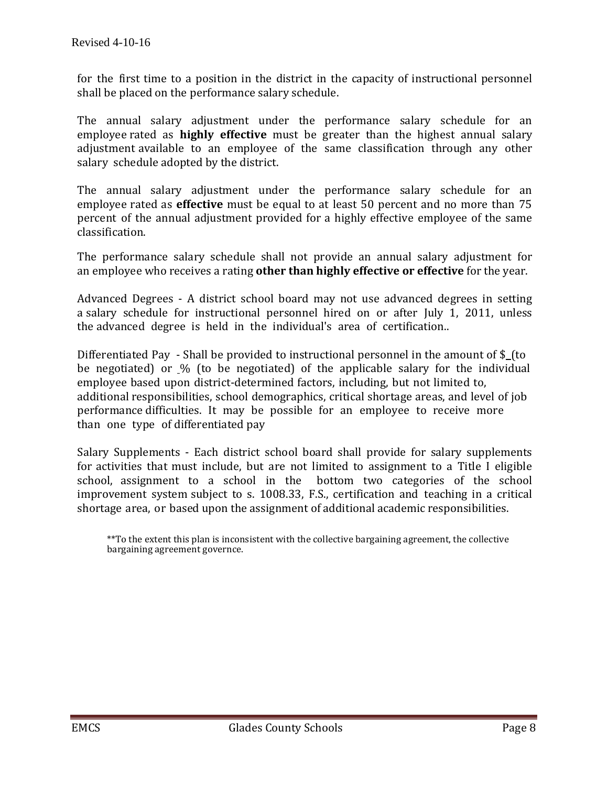for the first time to a position in the district in the capacity of instructional personnel shall be placed on the performance salary schedule.

The annual salary adjustment under the performance salary schedule for an employee rated as **highly effective** must be greater than the highest annual salary adjustment available to an employee of the same classification through any other salary schedule adopted by the district.

The annual salary adjustment under the performance salary schedule for an employee rated as **effective** must be equal to at least 50 percent and no more than 75 percent of the annual adjustment provided for a highly effective employee of the same classification.

The performance salary schedule shall not provide an annual salary adjustment for an employee who receives a rating **other than highly effective or effective** for the year.

Advanced Degrees - A district school board may not use advanced degrees in setting a salary schedule for instructional personnel hired on or after July 1, 2011, unless the advanced degree is held in the individual's area of certification..

Differentiated Pay - Shall be provided to instructional personnel in the amount of  $\frac{1}{2}$  (to be negotiated) or % (to be negotiated) of the applicable salary for the individual employee based upon district-determined factors, including, but not limited to, additional responsibilities, school demographics, critical shortage areas, and level of job performance difficulties. It may be possible for an employee to receive more than one type of differentiated pay

Salary Supplements - Each district school board shall provide for salary supplements for activities that must include, but are not limited to assignment to a Title I eligible school, assignment to a school in the bottom two categories of the school improvement system subject to s. 1008.33, F.S., certification and teaching in a critical shortage area, or based upon the assignment of additional academic responsibilities.

\*\*To the extent this plan is inconsistent with the collective bargaining agreement, the collective bargaining agreement governce.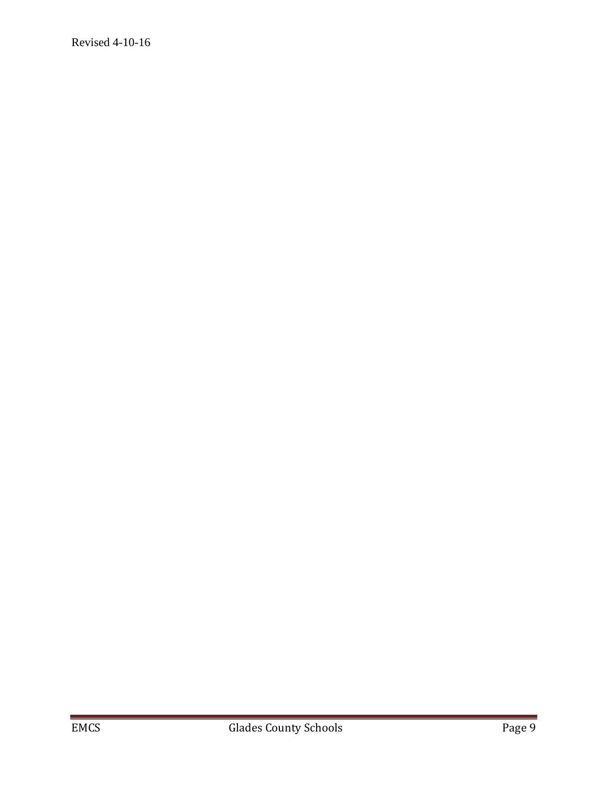Revised 4-10-16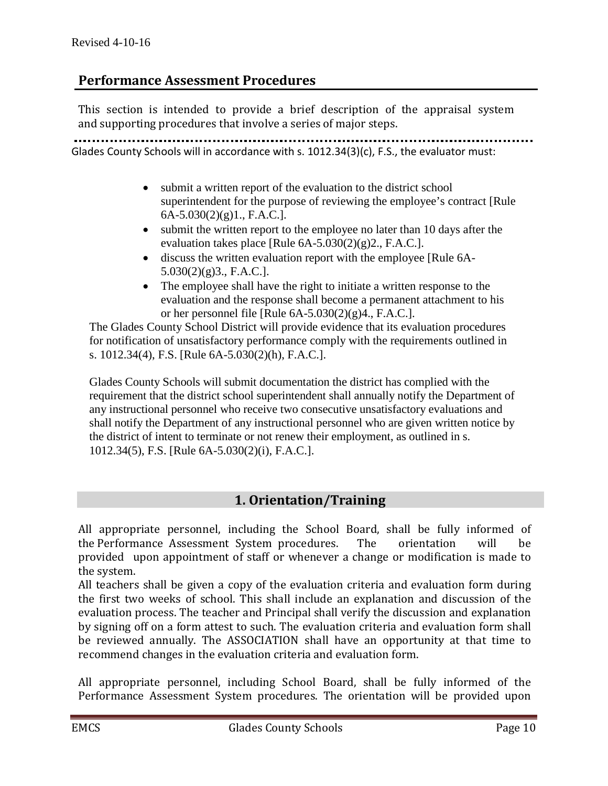### **Performance Assessment Procedures**

This section is intended to provide a brief description of the appraisal system and supporting procedures that involve a series of major steps.

Glades County Schools will in accordance with s. 1012.34(3)(c), F.S., the evaluator must:

- submit a written report of the evaluation to the district school superintendent for the purpose of reviewing the employee's contract [Rule  $6A-5.030(2)(g)1., F.A.C.$ ].
- submit the written report to the employee no later than 10 days after the evaluation takes place [Rule  $6A-5.030(2)(g)2$ ., F.A.C.].
- discuss the written evaluation report with the employee [Rule 6A-5.030(2)(g)3., F.A.C.].
- The employee shall have the right to initiate a written response to the evaluation and the response shall become a permanent attachment to his or her personnel file [Rule  $6A-5.030(2)(g)4$ ., F.A.C.].

The Glades County School District will provide evidence that its evaluation procedures for notification of unsatisfactory performance comply with the requirements outlined in s. 1012.34(4), F.S. [Rule 6A-5.030(2)(h), F.A.C.].

Glades County Schools will submit documentation the district has complied with the requirement that the district school superintendent shall annually notify the Department of any instructional personnel who receive two consecutive unsatisfactory evaluations and shall notify the Department of any instructional personnel who are given written notice by the district of intent to terminate or not renew their employment, as outlined in s. 1012.34(5), F.S. [Rule 6A-5.030(2)(i), F.A.C.].

# **1. Orientation/Training**

All appropriate personnel, including the School Board, shall be fully informed of the Performance Assessment System procedures. The orientation will be the Performance Assessment System procedures. provided upon appointment of staff or whenever a change or modification is made to the system.

All teachers shall be given a copy of the evaluation criteria and evaluation form during the first two weeks of school. This shall include an explanation and discussion of the evaluation process. The teacher and Principal shall verify the discussion and explanation by signing off on a form attest to such. The evaluation criteria and evaluation form shall be reviewed annually. The ASSOCIATION shall have an opportunity at that time to recommend changes in the evaluation criteria and evaluation form.

All appropriate personnel, including School Board, shall be fully informed of the Performance Assessment System procedures. The orientation will be provided upon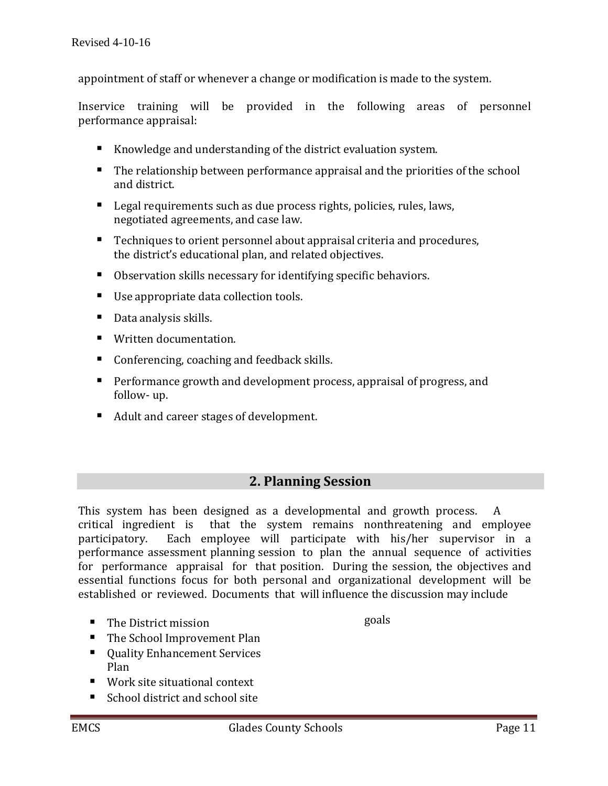appointment of staff or whenever a change or modification is made to the system.

Inservice training will be provided in the following areas of personnel performance appraisal:

- Knowledge and understanding of the district evaluation system.
- The relationship between performance appraisal and the priorities of the school and district.
- Legal requirements such as due process rights, policies, rules, laws, negotiated agreements, and case law.
- Techniques to orient personnel about appraisal criteria and procedures, the district's educational plan, and related objectives.
- Observation skills necessary for identifying specific behaviors.
- Use appropriate data collection tools.
- Data analysis skills.
- **Written documentation.**
- **Conferencing, coaching and feedback skills.**
- **Performance growth and development process, appraisal of progress, and** follow- up.
- Adult and career stages of development.

# **2. Planning Session**

This system has been designed as a developmental and growth process. A critical ingredient is that the system remains nonthreatening and emp critical ingredient is that the system remains nonthreatening and employee<br>participatory. Each employee will participate with his/her supervisor in a Each employee will participate with his/her supervisor in a performance assessment planning session to plan the annual sequence of activities for performance appraisal for that position. During the session, the objectives and essential functions focus for both personal and organizational development will be established or reviewed. Documents that will influence the discussion may include

■ The District mission

goals

- The School Improvement Plan
- Quality Enhancement Services Plan
- Work site situational context
- School district and school site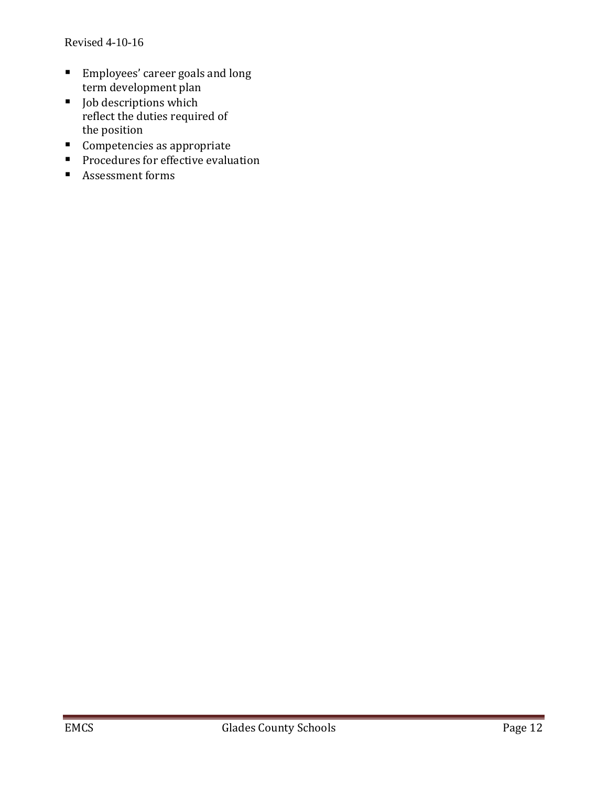Revised 4-10-16

- **Employees' career goals and long** term development plan
- **Job descriptions which** reflect the duties required of the position
- **Competencies as appropriate**
- **Procedures for effective evaluation**
- Assessment forms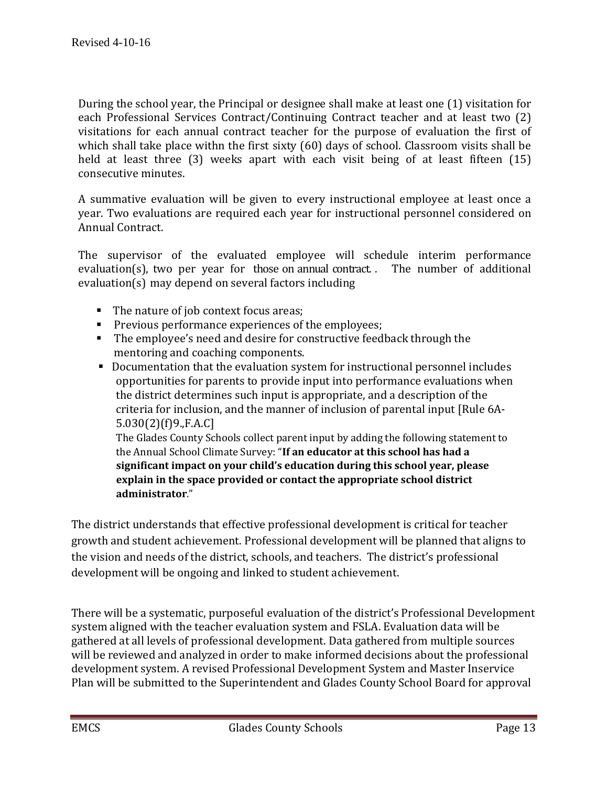During the school year, the Principal or designee shall make at least one (1) visitation for each Professional Services Contract/Continuing Contract teacher and at least two (2) visitations for each annual contract teacher for the purpose of evaluation the first of which shall take place withn the first sixty (60) days of school. Classroom visits shall be held at least three (3) weeks apart with each visit being of at least fifteen (15) consecutive minutes.

A summative evaluation will be given to every instructional employee at least once a year. Two evaluations are required each year for instructional personnel considered on Annual Contract.

The supervisor of the evaluated employee will schedule interim performance evaluation(s), two per year for those on annual contract. The number of additional evaluation(s) may depend on several factors including

- The nature of job context focus areas;
- **Previous performance experiences of the employees;**
- The employee's need and desire for constructive feedback through the mentoring and coaching components.
- Documentation that the evaluation system for instructional personnel includes opportunities for parents to provide input into performance evaluations when the district determines such input is appropriate, and a description of the criteria for inclusion, and the manner of inclusion of parental input [Rule 6A-5.030(2)(f)9.,F.A.C]

The Glades County Schools collect parent input by adding the following statement to the Annual School Climate Survey: "**If an educator at this school has had a significant impact on your child's education during this school year, please explain in the space provided or contact the appropriate school district administrator**."

The district understands that effective professional development is critical for teacher growth and student achievement. Professional development will be planned that aligns to the vision and needs of the district, schools, and teachers. The district's professional development will be ongoing and linked to student achievement.

There will be a systematic, purposeful evaluation of the district's Professional Development system aligned with the teacher evaluation system and FSLA. Evaluation data will be gathered at all levels of professional development. Data gathered from multiple sources will be reviewed and analyzed in order to make informed decisions about the professional development system. A revised Professional Development System and Master Inservice Plan will be submitted to the Superintendent and Glades County School Board for approval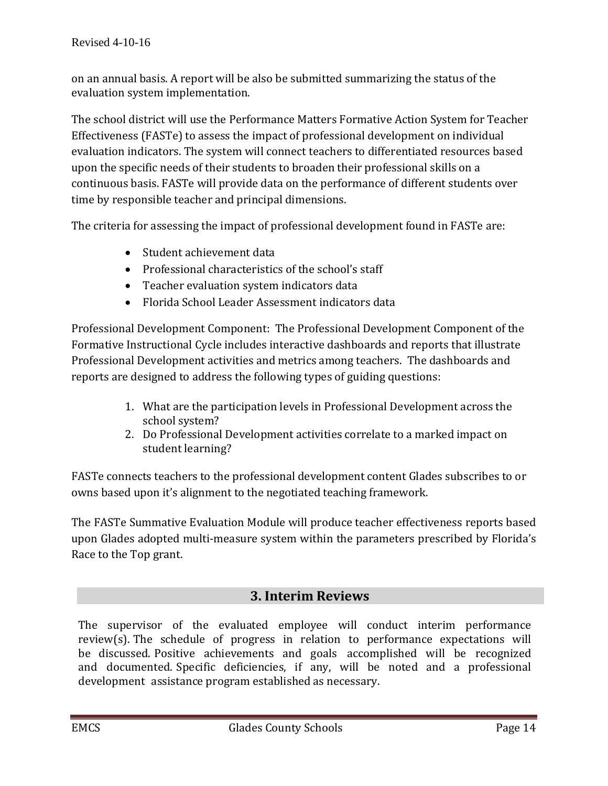on an annual basis. A report will be also be submitted summarizing the status of the evaluation system implementation.

The school district will use the Performance Matters Formative Action System for Teacher Effectiveness (FASTe) to assess the impact of professional development on individual evaluation indicators. The system will connect teachers to differentiated resources based upon the specific needs of their students to broaden their professional skills on a continuous basis. FASTe will provide data on the performance of different students over time by responsible teacher and principal dimensions.

The criteria for assessing the impact of professional development found in FASTe are:

- Student achievement data
- Professional characteristics of the school's staff
- Teacher evaluation system indicators data
- Florida School Leader Assessment indicators data

Professional Development Component: The Professional Development Component of the Formative Instructional Cycle includes interactive dashboards and reports that illustrate Professional Development activities and metrics among teachers. The dashboards and reports are designed to address the following types of guiding questions:

- 1. What are the participation levels in Professional Development across the school system?
- 2. Do Professional Development activities correlate to a marked impact on student learning?

FASTe connects teachers to the professional development content Glades subscribes to or owns based upon it's alignment to the negotiated teaching framework.

The FASTe Summative Evaluation Module will produce teacher effectiveness reports based upon Glades adopted multi-measure system within the parameters prescribed by Florida's Race to the Top grant.

# **3. Interim Reviews**

The supervisor of the evaluated employee will conduct interim performance review(s). The schedule of progress in relation to performance expectations will be discussed. Positive achievements and goals accomplished will be recognized and documented. Specific deficiencies, if any, will be noted and a professional development assistance program established as necessary.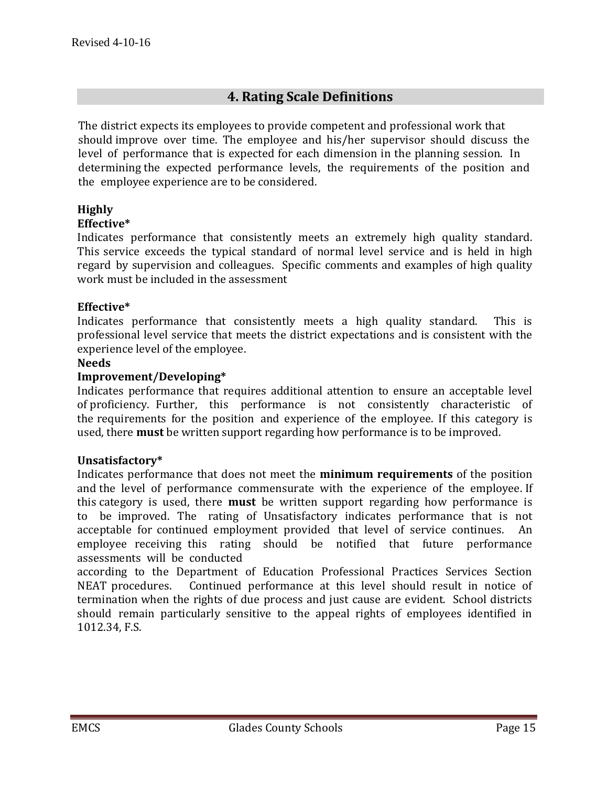# **4. Rating Scale Definitions**

The district expects its employees to provide competent and professional work that should improve over time. The employee and his/her supervisor should discuss the level of performance that is expected for each dimension in the planning session. In determining the expected performance levels, the requirements of the position and the employee experience are to be considered.

### **Highly**

### **Effective\***

Indicates performance that consistently meets an extremely high quality standard. This service exceeds the typical standard of normal level service and is held in high regard by supervision and colleagues. Specific comments and examples of high quality work must be included in the assessment

### **Effective\***

Indicates performance that consistently meets a high quality standard. This is professional level service that meets the district expectations and is consistent with the experience level of the employee.

### **Needs**

### **Improvement/Developing\***

Indicates performance that requires additional attention to ensure an acceptable level of proficiency. Further, this performance is not consistently characteristic of the requirements for the position and experience of the employee. If this category is used, there **must** be written support regarding how performance is to be improved.

### **Unsatisfactory\***

Indicates performance that does not meet the **minimum requirements** of the position and the level of performance commensurate with the experience of the employee. If this category is used, there **must** be written support regarding how performance is to be improved. The rating of Unsatisfactory indicates performance that is not acceptable for continued employment provided that level of service continues. An employee receiving this rating should be notified that future performance assessments will be conducted

according to the Department of Education Professional Practices Services Section NEAT procedures. Continued performance at this level should result in notice of termination when the rights of due process and just cause are evident. School districts should remain particularly sensitive to the appeal rights of employees identified in 1012.34, F.S.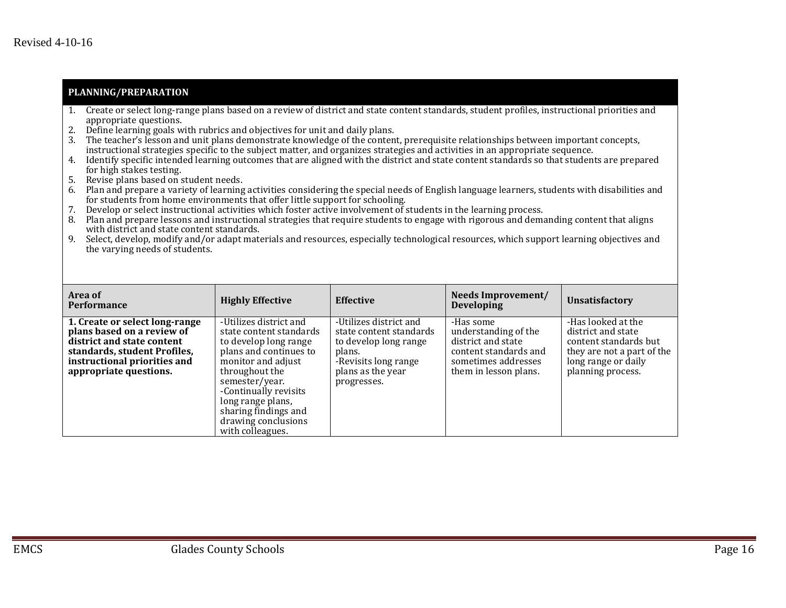|                                                                                                                                                                                             | Create or select long-range plans based on a review of district and state content standards, student profiles, instructional priorities and                                                                                                                               |                                                   |                                            |                                             |  |  |
|---------------------------------------------------------------------------------------------------------------------------------------------------------------------------------------------|---------------------------------------------------------------------------------------------------------------------------------------------------------------------------------------------------------------------------------------------------------------------------|---------------------------------------------------|--------------------------------------------|---------------------------------------------|--|--|
| appropriate questions.                                                                                                                                                                      |                                                                                                                                                                                                                                                                           |                                                   |                                            |                                             |  |  |
| 2.                                                                                                                                                                                          | Define learning goals with rubrics and objectives for unit and daily plans.<br>The teacher's lesson and unit plans demonstrate knowledge of the content, prerequisite relationships between important concepts,                                                           |                                                   |                                            |                                             |  |  |
| 3.                                                                                                                                                                                          |                                                                                                                                                                                                                                                                           |                                                   |                                            |                                             |  |  |
| 4.                                                                                                                                                                                          | instructional strategies specific to the subject matter, and organizes strategies and activities in an appropriate sequence.<br>Identify specific intended learning outcomes that are aligned with the district and state content standards so that students are prepared |                                                   |                                            |                                             |  |  |
| for high stakes testing.                                                                                                                                                                    |                                                                                                                                                                                                                                                                           |                                                   |                                            |                                             |  |  |
| Revise plans based on student needs.<br>5.                                                                                                                                                  |                                                                                                                                                                                                                                                                           |                                                   |                                            |                                             |  |  |
| Plan and prepare a variety of learning activities considering the special needs of English language learners, students with disabilities and<br>6.                                          |                                                                                                                                                                                                                                                                           |                                                   |                                            |                                             |  |  |
| for students from home environments that offer little support for schooling.                                                                                                                |                                                                                                                                                                                                                                                                           |                                                   |                                            |                                             |  |  |
| Develop or select instructional activities which foster active involvement of students in the learning process.<br>7.                                                                       |                                                                                                                                                                                                                                                                           |                                                   |                                            |                                             |  |  |
| Plan and prepare lessons and instructional strategies that require students to engage with rigorous and demanding content that aligns<br>8.                                                 |                                                                                                                                                                                                                                                                           |                                                   |                                            |                                             |  |  |
| with district and state content standards.<br>Select, develop, modify and/or adapt materials and resources, especially technological resources, which support learning objectives and<br>9. |                                                                                                                                                                                                                                                                           |                                                   |                                            |                                             |  |  |
|                                                                                                                                                                                             |                                                                                                                                                                                                                                                                           |                                                   |                                            |                                             |  |  |
|                                                                                                                                                                                             |                                                                                                                                                                                                                                                                           |                                                   |                                            |                                             |  |  |
| the varying needs of students.                                                                                                                                                              |                                                                                                                                                                                                                                                                           |                                                   |                                            |                                             |  |  |
|                                                                                                                                                                                             |                                                                                                                                                                                                                                                                           |                                                   |                                            |                                             |  |  |
|                                                                                                                                                                                             |                                                                                                                                                                                                                                                                           |                                                   |                                            |                                             |  |  |
| Area of<br>Performance                                                                                                                                                                      | <b>Highly Effective</b>                                                                                                                                                                                                                                                   | <b>Effective</b>                                  | Needs Improvement/<br><b>Developing</b>    | <b>Unsatisfactory</b>                       |  |  |
|                                                                                                                                                                                             |                                                                                                                                                                                                                                                                           |                                                   |                                            |                                             |  |  |
| 1. Create or select long-range                                                                                                                                                              | -Utilizes district and<br>state content standards                                                                                                                                                                                                                         | -Utilizes district and<br>state content standards | -Has some                                  | -Has looked at the                          |  |  |
| plans based on a review of<br>district and state content                                                                                                                                    | to develop long range                                                                                                                                                                                                                                                     | to develop long range                             | understanding of the<br>district and state | district and state<br>content standards but |  |  |
| standards, student Profiles,                                                                                                                                                                | plans and continues to                                                                                                                                                                                                                                                    | plans.                                            | content standards and                      | they are not a part of the                  |  |  |
| instructional priorities and                                                                                                                                                                | monitor and adjust                                                                                                                                                                                                                                                        | -Revisits long range                              | sometimes addresses                        | long range or daily                         |  |  |
| appropriate questions.                                                                                                                                                                      | throughout the                                                                                                                                                                                                                                                            | plans as the year                                 | them in lesson plans.                      | planning process.                           |  |  |
|                                                                                                                                                                                             | semester/year.                                                                                                                                                                                                                                                            | progresses.                                       |                                            |                                             |  |  |
|                                                                                                                                                                                             | -Continually revisits                                                                                                                                                                                                                                                     |                                                   |                                            |                                             |  |  |
|                                                                                                                                                                                             | long range plans,                                                                                                                                                                                                                                                         |                                                   |                                            |                                             |  |  |
|                                                                                                                                                                                             | sharing findings and<br>drawing conclusions                                                                                                                                                                                                                               |                                                   |                                            |                                             |  |  |

with colleagues.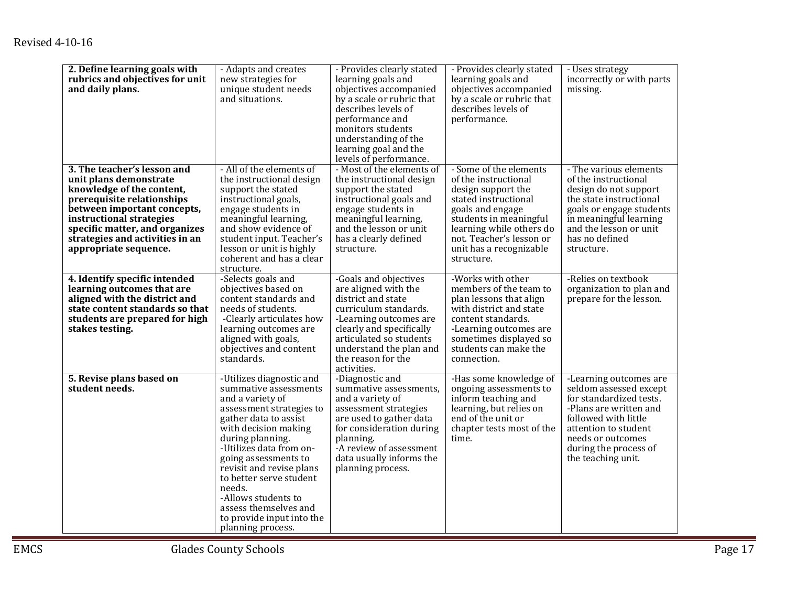| 2. Define learning goals with<br>rubrics and objectives for unit<br>and daily plans.                                                                                                                                                                                      | - Adapts and creates<br>new strategies for<br>unique student needs<br>and situations.                                                                                                                                                                                                                                                                                                        | - Provides clearly stated<br>learning goals and<br>objectives accompanied<br>by a scale or rubric that<br>describes levels of<br>performance and<br>monitors students<br>understanding of the<br>learning goal and the<br>levels of performance. | - Provides clearly stated<br>learning goals and<br>objectives accompanied<br>by a scale or rubric that<br>describes levels of<br>performance.                                                                                               | - Uses strategy<br>incorrectly or with parts<br>missing.                                                                                                                                                                  |
|---------------------------------------------------------------------------------------------------------------------------------------------------------------------------------------------------------------------------------------------------------------------------|----------------------------------------------------------------------------------------------------------------------------------------------------------------------------------------------------------------------------------------------------------------------------------------------------------------------------------------------------------------------------------------------|--------------------------------------------------------------------------------------------------------------------------------------------------------------------------------------------------------------------------------------------------|---------------------------------------------------------------------------------------------------------------------------------------------------------------------------------------------------------------------------------------------|---------------------------------------------------------------------------------------------------------------------------------------------------------------------------------------------------------------------------|
| 3. The teacher's lesson and<br>unit plans demonstrate<br>knowledge of the content,<br>prerequisite relationships<br>between important concepts,<br>instructional strategies<br>specific matter, and organizes<br>strategies and activities in an<br>appropriate sequence. | - All of the elements of<br>the instructional design<br>support the stated<br>instructional goals,<br>engage students in<br>meaningful learning,<br>and show evidence of<br>student input. Teacher's<br>lesson or unit is highly<br>coherent and has a clear<br>structure.                                                                                                                   | - Most of the elements of<br>the instructional design<br>support the stated<br>instructional goals and<br>engage students in<br>meaningful learning,<br>and the lesson or unit<br>has a clearly defined<br>structure.                            | - Some of the elements<br>of the instructional<br>design support the<br>stated instructional<br>goals and engage<br>students in meaningful<br>learning while others do<br>not. Teacher's lesson or<br>unit has a recognizable<br>structure. | - The various elements<br>of the instructional<br>design do not support<br>the state instructional<br>goals or engage students<br>in meaningful learning<br>and the lesson or unit<br>has no defined<br>structure.        |
| 4. Identify specific intended<br>learning outcomes that are<br>aligned with the district and<br>state content standards so that<br>students are prepared for high<br>stakes testing.                                                                                      | -Selects goals and<br>objectives based on<br>content standards and<br>needs of students.<br>-Clearly articulates how<br>learning outcomes are<br>aligned with goals,<br>objectives and content<br>standards.                                                                                                                                                                                 | -Goals and objectives<br>are aligned with the<br>district and state<br>curriculum standards.<br>-Learning outcomes are<br>clearly and specifically<br>articulated so students<br>understand the plan and<br>the reason for the<br>activities.    | -Works with other<br>members of the team to<br>plan lessons that align<br>with district and state<br>content standards.<br>-Learning outcomes are<br>sometimes displayed so<br>students can make the<br>connection.                         | -Relies on textbook<br>organization to plan and<br>prepare for the lesson.                                                                                                                                                |
| 5. Revise plans based on<br>student needs.                                                                                                                                                                                                                                | -Utilizes diagnostic and<br>summative assessments<br>and a variety of<br>assessment strategies to<br>gather data to assist<br>with decision making<br>during planning.<br>-Utilizes data from on-<br>going assessments to<br>revisit and revise plans<br>to better serve student<br>needs.<br>-Allows students to<br>assess themselves and<br>to provide input into the<br>planning process. | -Diagnostic and<br>summative assessments,<br>and a variety of<br>assessment strategies<br>are used to gather data<br>for consideration during<br>planning.<br>-A review of assessment<br>data usually informs the<br>planning process.           | -Has some knowledge of<br>ongoing assessments to<br>inform teaching and<br>learning, but relies on<br>end of the unit or<br>chapter tests most of the<br>time.                                                                              | -Learning outcomes are<br>seldom assessed except<br>for standardized tests.<br>-Plans are written and<br>followed with little<br>attention to student<br>needs or outcomes<br>during the process of<br>the teaching unit. |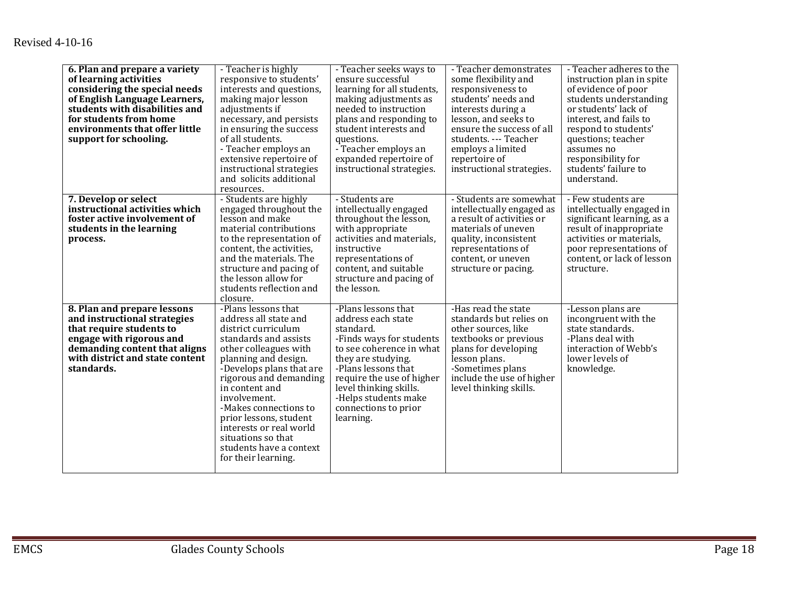| 6. Plan and prepare a variety<br>of learning activities<br>considering the special needs<br>of English Language Learners,<br>students with disabilities and<br>for students from home<br>environments that offer little<br>support for schooling. | - Teacher is highly<br>responsive to students'<br>interests and questions,<br>making major lesson<br>adjustments if<br>necessary, and persists<br>in ensuring the success<br>of all students.<br>- Teacher employs an<br>extensive repertoire of<br>instructional strategies<br>and solicits additional<br>resources.                                                                       | - Teacher seeks ways to<br>ensure successful<br>learning for all students,<br>making adjustments as<br>needed to instruction<br>plans and responding to<br>student interests and<br>questions.<br>- Teacher employs an<br>expanded repertoire of<br>instructional strategies.   | - Teacher demonstrates<br>some flexibility and<br>responsiveness to<br>students' needs and<br>interests during a<br>lesson, and seeks to<br>ensure the success of all<br>students. --- Teacher<br>employs a limited<br>repertoire of<br>instructional strategies. | - Teacher adheres to the<br>instruction plan in spite<br>of evidence of poor<br>students understanding<br>or students' lack of<br>interest, and fails to<br>respond to students'<br>questions; teacher<br>assumes no<br>responsibility for<br>students' failure to<br>understand. |
|---------------------------------------------------------------------------------------------------------------------------------------------------------------------------------------------------------------------------------------------------|---------------------------------------------------------------------------------------------------------------------------------------------------------------------------------------------------------------------------------------------------------------------------------------------------------------------------------------------------------------------------------------------|---------------------------------------------------------------------------------------------------------------------------------------------------------------------------------------------------------------------------------------------------------------------------------|-------------------------------------------------------------------------------------------------------------------------------------------------------------------------------------------------------------------------------------------------------------------|-----------------------------------------------------------------------------------------------------------------------------------------------------------------------------------------------------------------------------------------------------------------------------------|
| 7. Develop or select<br>instructional activities which<br>foster active involvement of<br>students in the learning<br>process.                                                                                                                    | - Students are highly<br>engaged throughout the<br>lesson and make<br>material contributions<br>to the representation of<br>content, the activities,<br>and the materials. The<br>structure and pacing of<br>the lesson allow for<br>students reflection and<br>closure.                                                                                                                    | - Students are<br>intellectually engaged<br>throughout the lesson,<br>with appropriate<br>activities and materials.<br>instructive<br>representations of<br>content, and suitable<br>structure and pacing of<br>the lesson.                                                     | - Students are somewhat<br>intellectually engaged as<br>a result of activities or<br>materials of uneven<br>quality, inconsistent<br>representations of<br>content, or uneven<br>structure or pacing.                                                             | - Few students are<br>intellectually engaged in<br>significant learning, as a<br>result of inappropriate<br>activities or materials,<br>poor representations of<br>content, or lack of lesson<br>structure.                                                                       |
| 8. Plan and prepare lessons<br>and instructional strategies<br>that require students to<br>engage with rigorous and<br>demanding content that aligns<br>with district and state content<br>standards.                                             | -Plans lessons that<br>address all state and<br>district curriculum<br>standards and assists<br>other colleagues with<br>planning and design.<br>-Develops plans that are<br>rigorous and demanding<br>in content and<br>involvement.<br>-Makes connections to<br>prior lessons, student<br>interests or real world<br>situations so that<br>students have a context<br>for their learning. | -Plans lessons that<br>address each state<br>standard.<br>-Finds ways for students<br>to see coherence in what<br>they are studying.<br>-Plans lessons that<br>require the use of higher<br>level thinking skills.<br>-Helps students make<br>connections to prior<br>learning. | -Has read the state<br>standards but relies on<br>other sources, like<br>textbooks or previous<br>plans for developing<br>lesson plans.<br>-Sometimes plans<br>include the use of higher<br>level thinking skills.                                                | -Lesson plans are<br>incongruent with the<br>state standards.<br>-Plans deal with<br>interaction of Webb's<br>lower levels of<br>knowledge.                                                                                                                                       |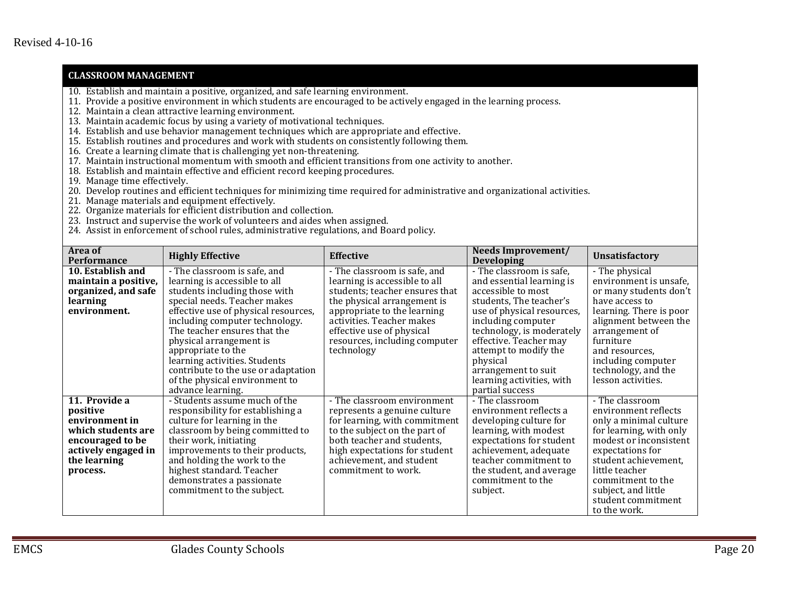### **CLASSROOM MANAGEMENT**

- 10. Establish and maintain a positive, organized, and safe learning environment.
- 11. Provide a positive environment in which students are encouraged to be actively engaged in the learning process.
- 12. Maintain a clean attractive learning environment.
- 13. Maintain academic focus by using a variety of motivational techniques.
- 14. Establish and use behavior management techniques which are appropriate and effective.
- 15. Establish routines and procedures and work with students on consistently following them.
- 16. Create a learning climate that is challenging yet non-threatening.
- 17. Maintain instructional momentum with smooth and efficient transitions from one activity to another.
- 18. Establish and maintain effective and efficient record keeping procedures.
- 19. Manage time effectively.
- 20. Develop routines and efficient techniques for minimizing time required for administrative and organizational activities.
- 21. Manage materials and equipment effectively.
- 22. Organize materials for efficient distribution and collection.
- 23. Instruct and supervise the work of volunteers and aides when assigned.
- 24. Assist in enforcement of school rules, administrative regulations, and Board policy.

| Area of<br><b>Performance</b>                                                                                                            | <b>Highly Effective</b>                                                                                                                                                                                                                                                                                                                                                                                                  | <b>Effective</b>                                                                                                                                                                                                                                                       | Needs Improvement/<br><b>Developing</b>                                                                                                                                                                                                                                                                                       | <b>Unsatisfactory</b>                                                                                                                                                                                                                                                  |
|------------------------------------------------------------------------------------------------------------------------------------------|--------------------------------------------------------------------------------------------------------------------------------------------------------------------------------------------------------------------------------------------------------------------------------------------------------------------------------------------------------------------------------------------------------------------------|------------------------------------------------------------------------------------------------------------------------------------------------------------------------------------------------------------------------------------------------------------------------|-------------------------------------------------------------------------------------------------------------------------------------------------------------------------------------------------------------------------------------------------------------------------------------------------------------------------------|------------------------------------------------------------------------------------------------------------------------------------------------------------------------------------------------------------------------------------------------------------------------|
| 10. Establish and<br>maintain a positive,<br>organized, and safe<br>learning<br>environment.                                             | - The classroom is safe, and<br>learning is accessible to all<br>students including those with<br>special needs. Teacher makes<br>effective use of physical resources,<br>including computer technology.<br>The teacher ensures that the<br>physical arrangement is<br>appropriate to the<br>learning activities. Students<br>contribute to the use or adaptation<br>of the physical environment to<br>advance learning. | - The classroom is safe, and<br>learning is accessible to all<br>students; teacher ensures that<br>the physical arrangement is<br>appropriate to the learning<br>activities. Teacher makes<br>effective use of physical<br>resources, including computer<br>technology | - The classroom is safe,<br>and essential learning is<br>accessible to most<br>students, The teacher's<br>use of physical resources,<br>including computer<br>technology, is moderately<br>effective. Teacher may<br>attempt to modify the<br>physical<br>arrangement to suit<br>learning activities, with<br>partial success | - The physical<br>environment is unsafe,<br>or many students don't<br>have access to<br>learning. There is poor<br>alignment between the<br>arrangement of<br>furniture<br>and resources,<br>including computer<br>technology, and the<br>lesson activities.           |
| 11. Provide a<br>positive<br>environment in<br>which students are<br>encouraged to be<br>actively engaged in<br>the learning<br>process. | - Students assume much of the<br>responsibility for establishing a<br>culture for learning in the<br>classroom by being committed to<br>their work, initiating<br>improvements to their products,<br>and holding the work to the<br>highest standard. Teacher<br>demonstrates a passionate<br>commitment to the subject.                                                                                                 | - The classroom environment<br>represents a genuine culture<br>for learning, with commitment<br>to the subject on the part of<br>both teacher and students,<br>high expectations for student<br>achievement, and student<br>commitment to work.                        | - The classroom<br>environment reflects a<br>developing culture for<br>learning, with modest<br>expectations for student<br>achievement, adequate<br>teacher commitment to<br>the student, and average<br>commitment to the<br>subject.                                                                                       | - The classroom<br>environment reflects<br>only a minimal culture<br>for learning, with only<br>modest or inconsistent<br>expectations for<br>student achievement,<br>little teacher<br>commitment to the<br>subject, and little<br>student commitment<br>to the work. |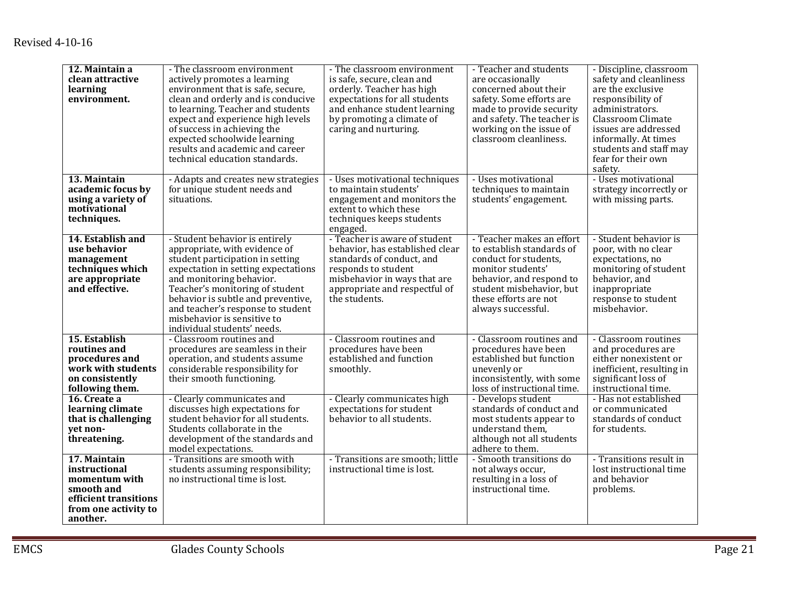**12. Maintain a clean attractive learning environment.** - The classroom environment actively promotes a learning environment that is safe, secure, clean and orderly and is conducive to learning. Teacher and students expect and experience high levels of success in achieving the expected schoolwide learning results and academic and career technical education standards. - The classroom environment is safe, secure, clean and orderly. Teacher has high expectations for all students and enhance student learning by promoting a climate of caring and nurturing. - Teacher and students are occasionally concerned about their safety. Some efforts are made to provide security and safety. The teacher is working on the issue of classroom cleanliness. - Discipline, classroom safety and cleanliness are the exclusive responsibility of administrators. Classroom Climate issues are addressed informally. At times students and staff may fear for their own safety. **13. Maintain academic focus by using a variety of motivational techniques.** - Adapts and creates new strategies for unique student needs and situations. - Uses motivational techniques to maintain students' engagement and monitors the extent to which these techniques keeps students engaged. - Uses motivational techniques to maintain students' engagement. - Uses motivational strategy incorrectly or with missing parts. **14. Establish and use behavior management techniques which are appropriate and effective.** - Student behavior is entirely appropriate, with evidence of student participation in setting expectation in setting expectations and monitoring behavior. Teacher's monitoring of student behavior is subtle and preventive, and teacher's response to student misbehavior is sensitive to individual students' needs. - Teacher is aware of student behavior, has established clear standards of conduct, and responds to student misbehavior in ways that are appropriate and respectful of the students. - Teacher makes an effort to establish standards of conduct for students, monitor students' behavior, and respond to student misbehavior, but these efforts are not always successful. - Student behavior is poor, with no clear expectations, no monitoring of student behavior, and inappropriate response to student misbehavior. **15. Establish routines and procedures and work with students on consistently following them.** - Classroom routines and procedures are seamless in their operation, and students assume considerable responsibility for their smooth functioning. - Classroom routines and procedures have been established and function smoothly. - Classroom routines and procedures have been established but function unevenly or inconsistently, with some loss of instructional time. - Classroom routines and procedures are either nonexistent or inefficient, resulting in significant loss of instructional time. **16. Create a learning climate that is challenging yet nonthreatening.** - Clearly communicates and discusses high expectations for student behavior for all students. Students collaborate in the development of the standards and model expectations. - Clearly communicates high expectations for student behavior to all students. - Develops student standards of conduct and most students appear to understand them, although not all students adhere to them. - Has not established or communicated standards of conduct for students. **17. Maintain instructional momentum with smooth and efficient transitions from one activity to another.** - Transitions are smooth with students assuming responsibility; no instructional time is lost. - Transitions are smooth; little instructional time is lost. - Smooth transitions do not always occur, resulting in a loss of instructional time. - Transitions result in lost instructional time and behavior problems.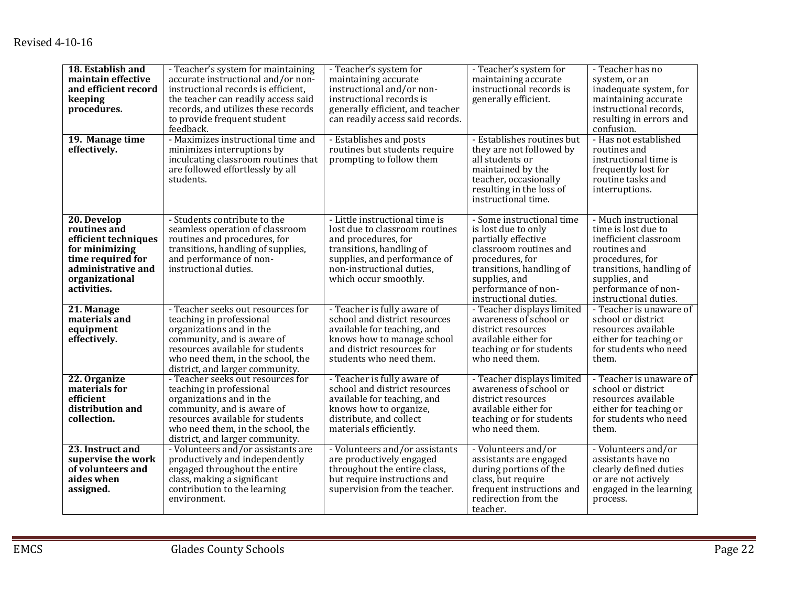**18. Establish and maintain effective and efficient record keeping procedures.** - Teacher's system for maintaining accurate instructional and/or noninstructional records is efficient, the teacher can readily access said records, and utilizes these records to provide frequent student feedback. - Teacher's system for maintaining accurate<br>instructional and/or noninstructional records is generally efficient, and teacher can readily access said records. - Teacher's system for maintaining accurate instructional records is generally efficient. - Teacher has no system, or an inadequate system, for maintaining accurate instructional records, resulting in errors and confusion. **19. Manage time effectively.** - Maximizes instructional time and minimizes interruptions by inculcating classroom routines that are followed effortlessly by all students. - Establishes and posts routines but students require prompting to follow them - Establishes routines but they are not followed by all students or maintained by the teacher, occasionally resulting in the loss of instructional time. - Has not established routines and instructional time is frequently lost for routine tasks and interruptions. **20. Develop routines and efficient techniques for minimizing time required for administrative and organizational activities.** - Students contribute to the seamless operation of classroom routines and procedures, for transitions, handling of supplies, and performance of noninstructional duties. - Little instructional time is lost due to classroom routines and procedures, for transitions, handling of supplies, and performance of non-instructional duties, which occur smoothly. - Some instructional time is lost due to only partially effective classroom routines and procedures, for transitions, handling of supplies, and performance of noninstructional duties. - Much instructional time is lost due to inefficient classroom routines and procedures, for transitions, handling of supplies, and performance of noninstructional duties. **21. Manage materials and equipment effectively.** - Teacher seeks out resources for teaching in professional organizations and in the community, and is aware of resources available for students who need them, in the school, the district, and larger community. - Teacher is fully aware of school and district resources available for teaching, and knows how to manage school and district resources for students who need them. - Teacher displays limited awareness of school or district resources available either for teaching or for students who need them. - Teacher is unaware of school or district resources available either for teaching or for students who need them. **22. Organize materials for efficient distribution and collection.**  - Teacher seeks out resources for teaching in professional organizations and in the community, and is aware of resources available for students who need them, in the school, the district, and larger community. - Teacher is fully aware of school and district resources available for teaching, and knows how to organize, distribute, and collect materials efficiently. - Teacher displays limited awareness of school or district resources available either for teaching or for students who need them. - Teacher is unaware of school or district resources available either for teaching or for students who need them. **23. Instruct and supervise the work of volunteers and aides when assigned.** - Volunteers and/or assistants are productively and independently engaged throughout the entire class, making a significant contribution to the learning environment. - Volunteers and/or assistants are productively engaged throughout the entire class, but require instructions and supervision from the teacher. - Volunteers and/or assistants are engaged during portions of the class, but require frequent instructions and redirection from the teacher. - Volunteers and/or assistants have no clearly defined duties or are not actively engaged in the learning process.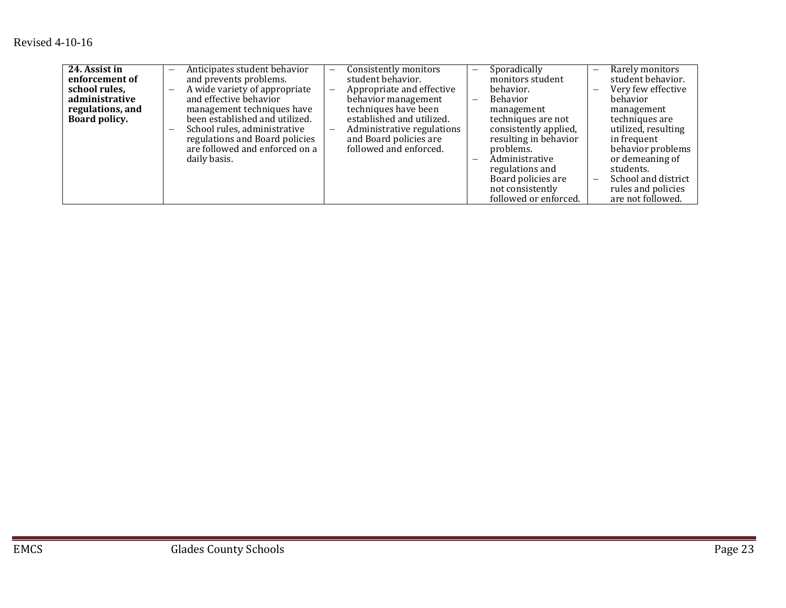# Revised 4-10-16

| 24. Assist in<br>enforcement of<br>school rules.<br>administrative<br>regulations, and<br>Board policy. | Anticipates student behavior<br>and prevents problems.<br>A wide variety of appropriate<br>and effective behavior<br>management techniques have<br>been established and utilized.<br>School rules, administrative<br>-<br>regulations and Board policies<br>are followed and enforced on a<br>daily basis. | Consistently monitors<br>-<br>student behavior.<br>Appropriate and effective<br>$\overline{\phantom{a}}$<br>behavior management<br>techniques have been<br>established and utilized.<br>Administrative regulations<br>$\overline{\phantom{a}}$<br>and Board policies are<br>followed and enforced. | Sporadically<br>$\overline{\phantom{0}}$<br>monitors student<br>behavior.<br><b>Behavior</b><br>$\overline{\phantom{0}}$<br>management<br>techniques are not<br>consistently applied,<br>resulting in behavior<br>problems.<br>Administrative<br>$\overline{\phantom{0}}$<br>regulations and<br>Board policies are<br>not consistently<br>followed or enforced. | Rarely monitors<br>$\qquad \qquad -$<br>student behavior.<br>Very few effective<br>$\qquad \qquad -$<br>behavior<br>management<br>techniques are<br>utilized, resulting<br>in frequent<br>behavior problems<br>or demeaning of<br>students.<br>School and district<br>$\overline{\phantom{a}}$<br>rules and policies<br>are not followed. |
|---------------------------------------------------------------------------------------------------------|------------------------------------------------------------------------------------------------------------------------------------------------------------------------------------------------------------------------------------------------------------------------------------------------------------|----------------------------------------------------------------------------------------------------------------------------------------------------------------------------------------------------------------------------------------------------------------------------------------------------|-----------------------------------------------------------------------------------------------------------------------------------------------------------------------------------------------------------------------------------------------------------------------------------------------------------------------------------------------------------------|-------------------------------------------------------------------------------------------------------------------------------------------------------------------------------------------------------------------------------------------------------------------------------------------------------------------------------------------|
|---------------------------------------------------------------------------------------------------------|------------------------------------------------------------------------------------------------------------------------------------------------------------------------------------------------------------------------------------------------------------------------------------------------------------|----------------------------------------------------------------------------------------------------------------------------------------------------------------------------------------------------------------------------------------------------------------------------------------------------|-----------------------------------------------------------------------------------------------------------------------------------------------------------------------------------------------------------------------------------------------------------------------------------------------------------------------------------------------------------------|-------------------------------------------------------------------------------------------------------------------------------------------------------------------------------------------------------------------------------------------------------------------------------------------------------------------------------------------|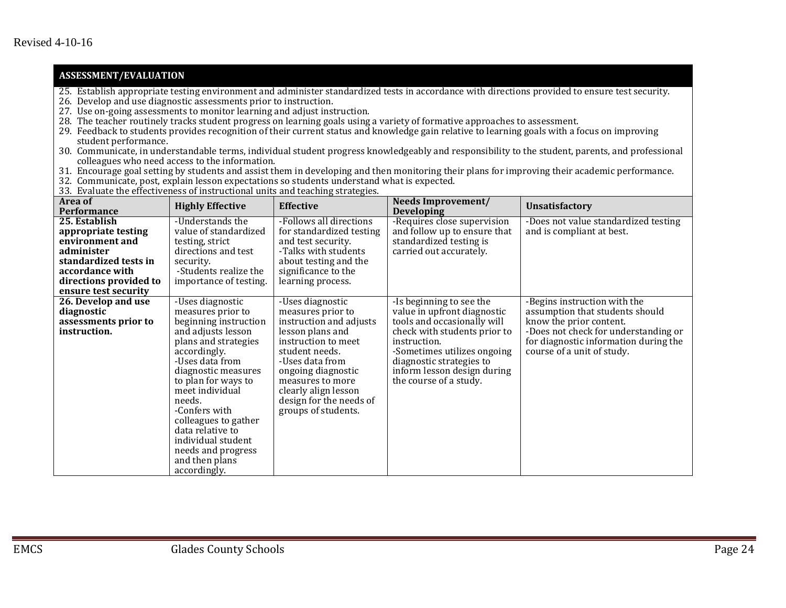### **ASSESSMENT/EVALUATION**

- 25. Establish appropriate testing environment and administer standardized tests in accordance with directions provided to ensure test security.
- 26. Develop and use diagnostic assessments prior to instruction.
- 27. Use on-going assessments to monitor learning and adjust instruction.
- 28. The teacher routinely tracks student progress on learning goals using a variety of formative approaches to assessment.
- 29. Feedback to students provides recognition of their current status and knowledge gain relative to learning goals with a focus on improving student performance.
- 30. Communicate, in understandable terms, individual student progress knowledgeably and responsibility to the student, parents, and professional colleagues who need access to the information.
- 31. Encourage goal setting by students and assist them in developing and then monitoring their plans for improving their academic performance.
- 32. Communicate, post, explain lesson expectations so students understand what is expected.
- 33. Evaluate the effectiveness of instructional units and teaching strategies.

| Area of<br>Performance                                                                                                                                              | <b>Highly Effective</b>                                                                                                                                                                                                                                                                                                                                               | <b>Effective</b>                                                                                                                                                                                                                                                     | <b>Needs Improvement/</b><br><b>Developing</b>                                                                                                                                                                                                             | <b>Unsatisfactory</b>                                                                                                                                                                                     |
|---------------------------------------------------------------------------------------------------------------------------------------------------------------------|-----------------------------------------------------------------------------------------------------------------------------------------------------------------------------------------------------------------------------------------------------------------------------------------------------------------------------------------------------------------------|----------------------------------------------------------------------------------------------------------------------------------------------------------------------------------------------------------------------------------------------------------------------|------------------------------------------------------------------------------------------------------------------------------------------------------------------------------------------------------------------------------------------------------------|-----------------------------------------------------------------------------------------------------------------------------------------------------------------------------------------------------------|
| 25. Establish<br>appropriate testing<br>environment and<br>administer<br>standardized tests in<br>accordance with<br>directions provided to<br>ensure test security | -Understands the<br>value of standardized<br>testing, strict<br>directions and test<br>security.<br>-Students realize the<br>importance of testing.                                                                                                                                                                                                                   | -Follows all directions<br>for standardized testing<br>and test security.<br>-Talks with students<br>about testing and the<br>significance to the<br>learning process.                                                                                               | -Requires close supervision<br>and follow up to ensure that<br>standardized testing is<br>carried out accurately.                                                                                                                                          | -Does not value standardized testing<br>and is compliant at best.                                                                                                                                         |
| 26. Develop and use<br>diagnostic<br>assessments prior to<br>instruction.                                                                                           | -Uses diagnostic<br>measures prior to<br>beginning instruction<br>and adjusts lesson<br>plans and strategies<br>accordingly.<br>-Uses data from<br>diagnostic measures<br>to plan for ways to<br>meet individual<br>needs.<br>-Confers with<br>colleagues to gather<br>data relative to<br>individual student<br>needs and progress<br>and then plans<br>accordingly. | -Uses diagnostic<br>measures prior to<br>instruction and adjusts<br>lesson plans and<br>instruction to meet<br>student needs.<br>-Uses data from<br>ongoing diagnostic<br>measures to more<br>clearly align lesson<br>design for the needs of<br>groups of students. | -Is beginning to see the<br>value in upfront diagnostic<br>tools and occasionally will<br>check with students prior to<br>instruction.<br>-Sometimes utilizes ongoing<br>diagnostic strategies to<br>inform lesson design during<br>the course of a study. | -Begins instruction with the<br>assumption that students should<br>know the prior content.<br>-Does not check for understanding or<br>for diagnostic information during the<br>course of a unit of study. |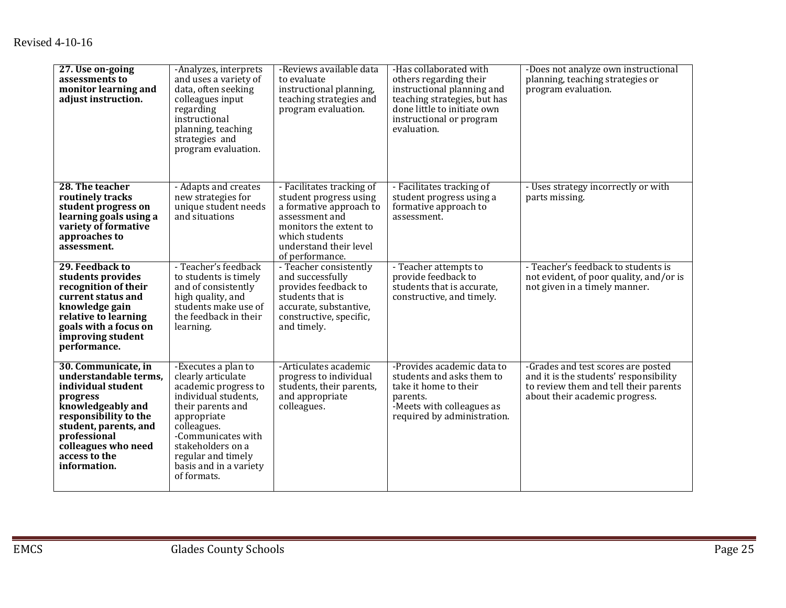| 27. Use on-going<br>assessments to<br>monitor learning and<br>adjust instruction.                                                                                                                                             | -Analyzes, interprets<br>and uses a variety of<br>data, often seeking<br>colleagues input<br>regarding<br>instructional<br>planning, teaching<br>strategies and<br>program evaluation.                                                                 | -Reviews available data<br>to evaluate<br>instructional planning,<br>teaching strategies and<br>program evaluation.                                                                       | -Has collaborated with<br>others regarding their<br>instructional planning and<br>teaching strategies, but has<br>done little to initiate own<br>instructional or program<br>evaluation. | -Does not analyze own instructional<br>planning, teaching strategies or<br>program evaluation.                                                          |
|-------------------------------------------------------------------------------------------------------------------------------------------------------------------------------------------------------------------------------|--------------------------------------------------------------------------------------------------------------------------------------------------------------------------------------------------------------------------------------------------------|-------------------------------------------------------------------------------------------------------------------------------------------------------------------------------------------|------------------------------------------------------------------------------------------------------------------------------------------------------------------------------------------|---------------------------------------------------------------------------------------------------------------------------------------------------------|
| 28. The teacher<br>routinely tracks<br>student progress on<br>learning goals using a<br>variety of formative<br>approaches to<br>assessment.                                                                                  | - Adapts and creates<br>new strategies for<br>unique student needs<br>and situations                                                                                                                                                                   | - Facilitates tracking of<br>student progress using<br>a formative approach to<br>assessment and<br>monitors the extent to<br>which students<br>understand their level<br>of performance. | - Facilitates tracking of<br>student progress using a<br>formative approach to<br>assessment.                                                                                            | - Uses strategy incorrectly or with<br>parts missing.                                                                                                   |
| 29. Feedback to<br>students provides<br>recognition of their<br>current status and<br>knowledge gain<br>relative to learning<br>goals with a focus on<br>improving student<br>performance.                                    | - Teacher's feedback<br>to students is timely<br>and of consistently<br>high quality, and<br>students make use of<br>the feedback in their<br>learning.                                                                                                | - Teacher consistently<br>and successfully<br>provides feedback to<br>students that is<br>accurate, substantive,<br>constructive, specific,<br>and timely.                                | - Teacher attempts to<br>provide feedback to<br>students that is accurate.<br>constructive, and timely.                                                                                  | - Teacher's feedback to students is<br>not evident, of poor quality, and/or is<br>not given in a timely manner.                                         |
| 30. Communicate, in<br>understandable terms.<br>individual student<br>progress<br>knowledgeably and<br>responsibility to the<br>student, parents, and<br>professional<br>colleagues who need<br>access to the<br>information. | -Executes a plan to<br>clearly articulate<br>academic progress to<br>individual students.<br>their parents and<br>appropriate<br>colleagues.<br>-Communicates with<br>stakeholders on a<br>regular and timely<br>basis and in a variety<br>of formats. | -Articulates academic<br>progress to individual<br>students, their parents,<br>and appropriate<br>colleagues.                                                                             | -Provides academic data to<br>students and asks them to<br>take it home to their<br>parents.<br>-Meets with colleagues as<br>required by administration.                                 | -Grades and test scores are posted<br>and it is the students' responsibility<br>to review them and tell their parents<br>about their academic progress. |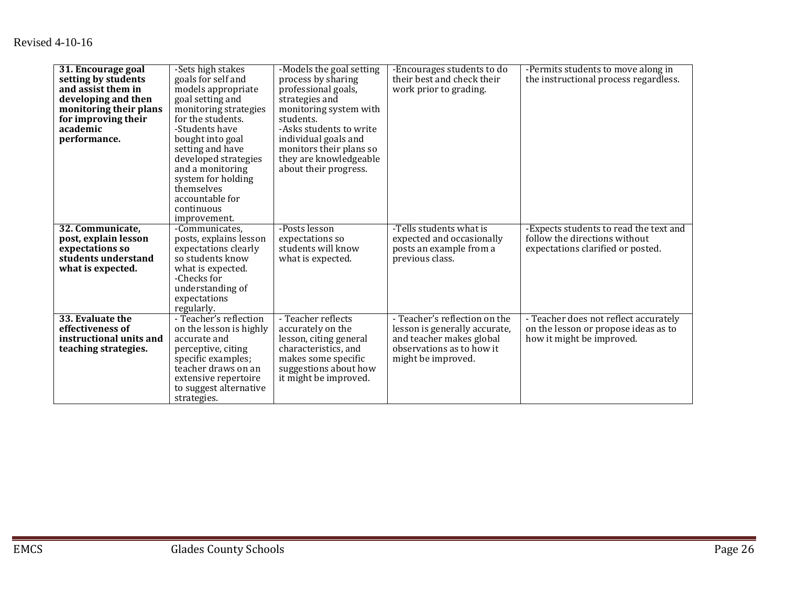Revised 4-10-16

| 31. Encourage goal<br>setting by students<br>and assist them in<br>developing and then<br>monitoring their plans<br>for improving their<br>academic<br>performance. | -Sets high stakes<br>goals for self and<br>models appropriate<br>goal setting and<br>monitoring strategies<br>for the students.<br>-Students have<br>bought into goal<br>setting and have<br>developed strategies<br>and a monitoring<br>system for holding<br>themselves<br>accountable for<br>continuous<br>improvement. | -Models the goal setting<br>process by sharing<br>professional goals,<br>strategies and<br>monitoring system with<br>students.<br>-Asks students to write<br>individual goals and<br>monitors their plans so<br>they are knowledgeable<br>about their progress. | -Encourages students to do<br>their best and check their<br>work prior to grading.                                                            | -Permits students to move along in<br>the instructional process regardless.                                  |
|---------------------------------------------------------------------------------------------------------------------------------------------------------------------|----------------------------------------------------------------------------------------------------------------------------------------------------------------------------------------------------------------------------------------------------------------------------------------------------------------------------|-----------------------------------------------------------------------------------------------------------------------------------------------------------------------------------------------------------------------------------------------------------------|-----------------------------------------------------------------------------------------------------------------------------------------------|--------------------------------------------------------------------------------------------------------------|
| 32. Communicate,<br>post, explain lesson<br>expectations so<br>students understand<br>what is expected.                                                             | -Communicates.<br>posts, explains lesson<br>expectations clearly<br>so students know<br>what is expected.<br>-Checks for<br>understanding of<br>expectations<br>regularly.                                                                                                                                                 | -Posts lesson<br>expectations so<br>students will know<br>what is expected.                                                                                                                                                                                     | -Tells students what is<br>expected and occasionally<br>posts an example from a<br>previous class.                                            | -Expects students to read the text and<br>follow the directions without<br>expectations clarified or posted. |
| 33. Evaluate the<br>effectiveness of<br>instructional units and<br>teaching strategies.                                                                             | - Teacher's reflection<br>on the lesson is highly<br>accurate and<br>perceptive, citing<br>specific examples;<br>teacher draws on an<br>extensive repertoire<br>to suggest alternative<br>strategies.                                                                                                                      | - Teacher reflects<br>accurately on the<br>lesson, citing general<br>characteristics, and<br>makes some specific<br>suggestions about how<br>it might be improved.                                                                                              | - Teacher's reflection on the<br>lesson is generally accurate,<br>and teacher makes global<br>observations as to how it<br>might be improved. | - Teacher does not reflect accurately<br>on the lesson or propose ideas as to<br>how it might be improved.   |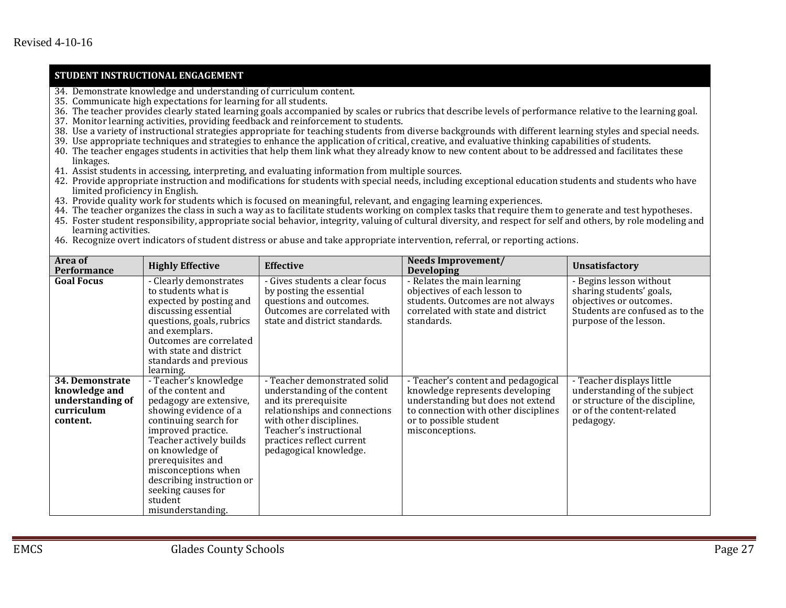#### **STUDENT INSTRUCTIONAL ENGAGEMENT**

- 34. Demonstrate knowledge and understanding of curriculum content.
- 35. Communicate high expectations for learning for all students.
- 36. The teacher provides clearly stated learning goals accompanied by scales or rubrics that describe levels of performance relative to the learning goal.
- 37. Monitor learning activities, providing feedback and reinforcement to students.
- 38. Use a variety of instructional strategies appropriate for teaching students from diverse backgrounds with different learning styles and special needs.
- 39. Use appropriate techniques and strategies to enhance the application of critical, creative, and evaluative thinking capabilities of students.
- 40. The teacher engages students in activities that help them link what they already know to new content about to be addressed and facilitates these linkages.
- 41. Assist students in accessing, interpreting, and evaluating information from multiple sources.
- 42. Provide appropriate instruction and modifications for students with special needs, including exceptional education students and students who have limited proficiency in English.
- 43. Provide quality work for students which is focused on meaningful, relevant, and engaging learning experiences.
- 44. The teacher organizes the class in such a way as to facilitate students working on complex tasks that require them to generate and test hypotheses.
- 45. Foster student responsibility, appropriate social behavior, integrity, valuing of cultural diversity, and respect for self and others, by role modeling and learning activities.
- 46. Recognize overt indicators of student distress or abuse and take appropriate intervention, referral, or reporting actions.

| Area of<br>Performance                                                         | <b>Highly Effective</b>                                                                                                                                                                                                                                                                                                     | <b>Effective</b>                                                                                                                                                                                                                   | Needs Improvement/<br><b>Developing</b>                                                                                                                                                          | <b>Unsatisfactory</b>                                                                                                                       |
|--------------------------------------------------------------------------------|-----------------------------------------------------------------------------------------------------------------------------------------------------------------------------------------------------------------------------------------------------------------------------------------------------------------------------|------------------------------------------------------------------------------------------------------------------------------------------------------------------------------------------------------------------------------------|--------------------------------------------------------------------------------------------------------------------------------------------------------------------------------------------------|---------------------------------------------------------------------------------------------------------------------------------------------|
| <b>Goal Focus</b>                                                              | - Clearly demonstrates<br>to students what is<br>expected by posting and<br>discussing essential<br>questions, goals, rubrics<br>and exemplars.<br>Outcomes are correlated<br>with state and district<br>standards and previous<br>learning.                                                                                | - Gives students a clear focus<br>by posting the essential<br>questions and outcomes.<br>Outcomes are correlated with<br>state and district standards.                                                                             | - Relates the main learning<br>objectives of each lesson to<br>students. Outcomes are not always<br>correlated with state and district<br>standards.                                             | - Begins lesson without<br>sharing students' goals,<br>objectives or outcomes.<br>Students are confused as to the<br>purpose of the lesson. |
| 34. Demonstrate<br>knowledge and<br>understanding of<br>curriculum<br>content. | - Teacher's knowledge<br>of the content and<br>pedagogy are extensive,<br>showing evidence of a<br>continuing search for<br>improved practice.<br>Teacher actively builds<br>on knowledge of<br>prerequisites and<br>misconceptions when<br>describing instruction or<br>seeking causes for<br>student<br>misunderstanding. | - Teacher demonstrated solid<br>understanding of the content<br>and its prerequisite<br>relationships and connections<br>with other disciplines.<br>Teacher's instructional<br>practices reflect current<br>pedagogical knowledge. | - Teacher's content and pedagogical<br>knowledge represents developing<br>understanding but does not extend<br>to connection with other disciplines<br>or to possible student<br>misconceptions. | - Teacher displays little<br>understanding of the subject<br>or structure of the discipline,<br>or of the content-related<br>pedagogy.      |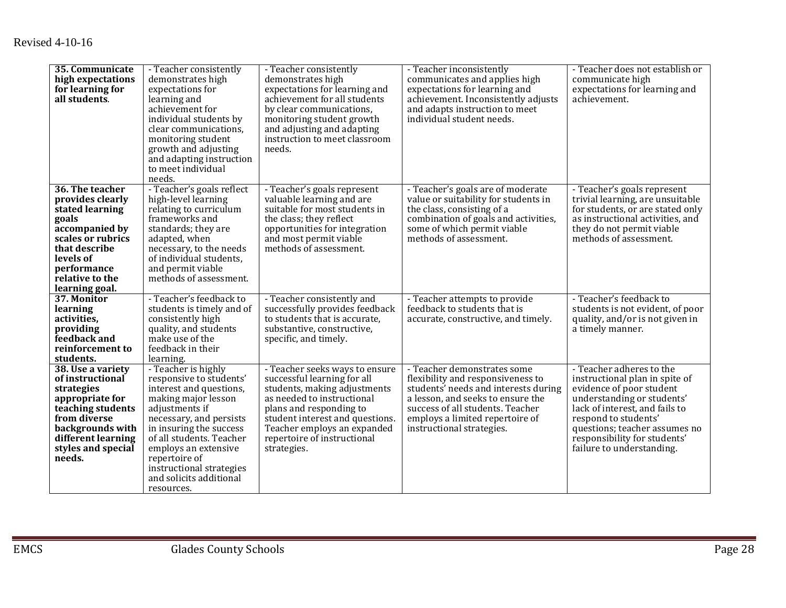| 35. Communicate<br>high expectations<br>for learning for<br>all students.                                                                                                                | - Teacher consistently<br>demonstrates high<br>expectations for<br>learning and<br>achievement for<br>individual students by<br>clear communications.<br>monitoring student<br>growth and adjusting<br>and adapting instruction<br>to meet individual<br>needs.                                                    | - Teacher consistently<br>demonstrates high<br>expectations for learning and<br>achievement for all students<br>by clear communications,<br>monitoring student growth<br>and adjusting and adapting<br>instruction to meet classroom<br>needs.                         | - Teacher inconsistently<br>communicates and applies high<br>expectations for learning and<br>achievement. Inconsistently adjusts<br>and adapts instruction to meet<br>individual student needs.                                                  | - Teacher does not establish or<br>communicate high<br>expectations for learning and<br>achievement.                                                                                                                                                                         |
|------------------------------------------------------------------------------------------------------------------------------------------------------------------------------------------|--------------------------------------------------------------------------------------------------------------------------------------------------------------------------------------------------------------------------------------------------------------------------------------------------------------------|------------------------------------------------------------------------------------------------------------------------------------------------------------------------------------------------------------------------------------------------------------------------|---------------------------------------------------------------------------------------------------------------------------------------------------------------------------------------------------------------------------------------------------|------------------------------------------------------------------------------------------------------------------------------------------------------------------------------------------------------------------------------------------------------------------------------|
| 36. The teacher<br>provides clearly<br>stated learning<br>goals<br>accompanied by<br>scales or rubrics<br>that describe<br>levels of<br>performance<br>relative to the<br>learning goal. | - Teacher's goals reflect<br>high-level learning<br>relating to curriculum<br>frameworks and<br>standards; they are<br>adapted, when<br>necessary, to the needs<br>of individual students,<br>and permit viable<br>methods of assessment.                                                                          | - Teacher's goals represent<br>valuable learning and are<br>suitable for most students in<br>the class; they reflect<br>opportunities for integration<br>and most permit viable<br>methods of assessment.                                                              | - Teacher's goals are of moderate<br>value or suitability for students in<br>the class, consisting of a<br>combination of goals and activities,<br>some of which permit viable<br>methods of assessment.                                          | - Teacher's goals represent<br>trivial learning, are unsuitable<br>for students, or are stated only<br>as instructional activities, and<br>they do not permit viable<br>methods of assessment.                                                                               |
| 37. Monitor<br>learning<br>activities.<br>providing<br>feedback and<br>reinforcement to<br>students.                                                                                     | - Teacher's feedback to<br>students is timely and of<br>consistently high<br>quality, and students<br>make use of the<br>feedback in their<br>learning.                                                                                                                                                            | - Teacher consistently and<br>successfully provides feedback<br>to students that is accurate.<br>substantive, constructive,<br>specific, and timely.                                                                                                                   | - Teacher attempts to provide<br>feedback to students that is<br>accurate, constructive, and timely.                                                                                                                                              | - Teacher's feedback to<br>students is not evident, of poor<br>quality, and/or is not given in<br>a timely manner.                                                                                                                                                           |
| 38. Use a variety<br>of instructional<br>strategies<br>appropriate for<br>teaching students<br>from diverse<br>backgrounds with<br>different learning<br>styles and special<br>needs.    | - Teacher is highly<br>responsive to students'<br>interest and questions,<br>making major lesson<br>adjustments if<br>necessary, and persists<br>in insuring the success<br>of all students. Teacher<br>employs an extensive<br>repertoire of<br>instructional strategies<br>and solicits additional<br>resources. | - Teacher seeks ways to ensure<br>successful learning for all<br>students, making adjustments<br>as needed to instructional<br>plans and responding to<br>student interest and questions.<br>Teacher employs an expanded<br>repertoire of instructional<br>strategies. | - Teacher demonstrates some<br>flexibility and responsiveness to<br>students' needs and interests during<br>a lesson, and seeks to ensure the<br>success of all students. Teacher<br>employs a limited repertoire of<br>instructional strategies. | - Teacher adheres to the<br>instructional plan in spite of<br>evidence of poor student<br>understanding or students'<br>lack of interest, and fails to<br>respond to students'<br>questions; teacher assumes no<br>responsibility for students'<br>failure to understanding. |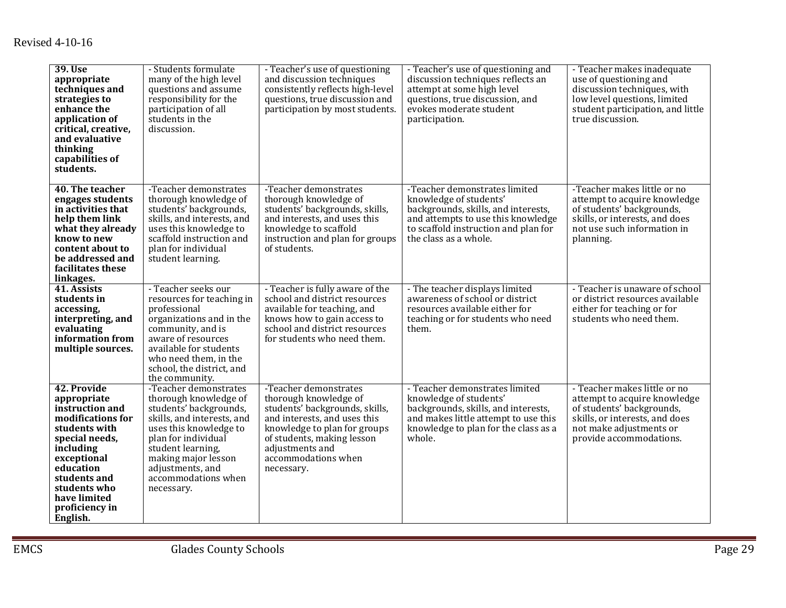| 39. Use<br>appropriate<br>techniques and<br>strategies to<br>enhance the<br>application of<br>critical, creative,<br>and evaluative<br>thinking<br>capabilities of<br>students.                                              | - Students formulate<br>many of the high level<br>questions and assume<br>responsibility for the<br>participation of all<br>students in the<br>discussion.                                                                                                   | - Teacher's use of questioning<br>and discussion techniques<br>consistently reflects high-level<br>questions, true discussion and<br>participation by most students.                                                                   | - Teacher's use of questioning and<br>discussion techniques reflects an<br>attempt at some high level<br>questions, true discussion, and<br>evokes moderate student<br>participation.                 | - Teacher makes inadequate<br>use of questioning and<br>discussion techniques, with<br>low level questions, limited<br>student participation, and little<br>true discussion.      |
|------------------------------------------------------------------------------------------------------------------------------------------------------------------------------------------------------------------------------|--------------------------------------------------------------------------------------------------------------------------------------------------------------------------------------------------------------------------------------------------------------|----------------------------------------------------------------------------------------------------------------------------------------------------------------------------------------------------------------------------------------|-------------------------------------------------------------------------------------------------------------------------------------------------------------------------------------------------------|-----------------------------------------------------------------------------------------------------------------------------------------------------------------------------------|
| 40. The teacher<br>engages students<br>in activities that<br>help them link<br>what they already<br>know to new<br>content about to<br>be addressed and<br>facilitates these<br>linkages.                                    | -Teacher demonstrates<br>thorough knowledge of<br>students' backgrounds,<br>skills, and interests, and<br>uses this knowledge to<br>scaffold instruction and<br>plan for individual<br>student learning.                                                     | -Teacher demonstrates<br>thorough knowledge of<br>students' backgrounds, skills,<br>and interests, and uses this<br>knowledge to scaffold<br>instruction and plan for groups<br>of students.                                           | -Teacher demonstrates limited<br>knowledge of students'<br>backgrounds, skills, and interests,<br>and attempts to use this knowledge<br>to scaffold instruction and plan for<br>the class as a whole. | -Teacher makes little or no<br>attempt to acquire knowledge<br>of students' backgrounds,<br>skills, or interests, and does<br>not use such information in<br>planning.            |
| 41. Assists<br>students in<br>accessing,<br>interpreting, and<br>evaluating<br>information from<br>multiple sources.                                                                                                         | - Teacher seeks our<br>resources for teaching in<br>professional<br>organizations and in the<br>community, and is<br>aware of resources<br>available for students<br>who need them, in the<br>school, the district, and<br>the community.                    | - Teacher is fully aware of the<br>school and district resources<br>available for teaching, and<br>knows how to gain access to<br>school and district resources<br>for students who need them.                                         | - The teacher displays limited<br>awareness of school or district<br>resources available either for<br>teaching or for students who need<br>them.                                                     | - Teacher is unaware of school<br>or district resources available<br>either for teaching or for<br>students who need them.                                                        |
| 42. Provide<br>appropriate<br>instruction and<br>modifications for<br>students with<br>special needs,<br>including<br>exceptional<br>education<br>students and<br>students who<br>have limited<br>proficiency in<br>English. | -Teacher demonstrates<br>thorough knowledge of<br>students' backgrounds,<br>skills, and interests, and<br>uses this knowledge to<br>plan for individual<br>student learning,<br>making major lesson<br>adjustments, and<br>accommodations when<br>necessary. | -Teacher demonstrates<br>thorough knowledge of<br>students' backgrounds, skills,<br>and interests, and uses this<br>knowledge to plan for groups<br>of students, making lesson<br>adjustments and<br>accommodations when<br>necessary. | - Teacher demonstrates limited<br>knowledge of students'<br>backgrounds, skills, and interests,<br>and makes little attempt to use this<br>knowledge to plan for the class as a<br>whole.             | - Teacher makes little or no<br>attempt to acquire knowledge<br>of students' backgrounds,<br>skills, or interests, and does<br>not make adjustments or<br>provide accommodations. |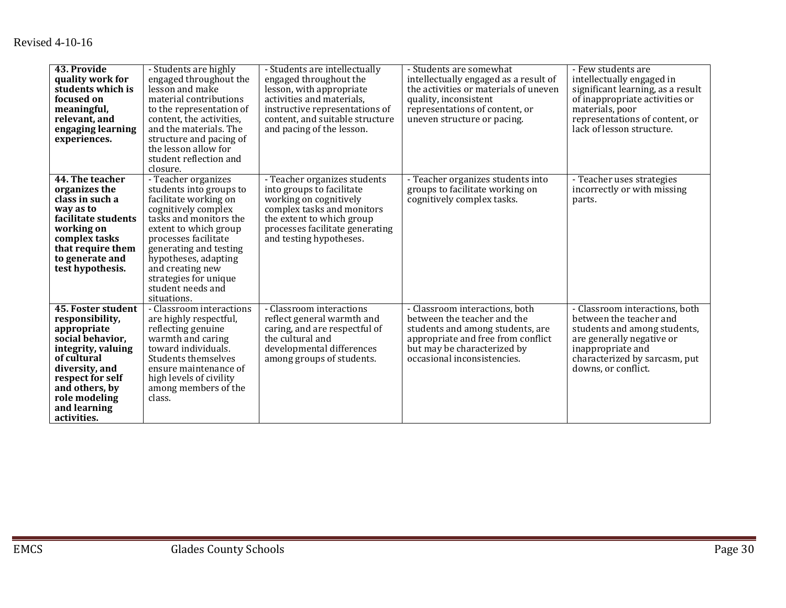Revised 4-10-16

| 43. Provide<br>quality work for<br>students which is<br>focused on<br>meaningful,<br>relevant, and<br>engaging learning<br>experiences.                                                                               | - Students are highly<br>engaged throughout the<br>lesson and make<br>material contributions<br>to the representation of<br>content, the activities,<br>and the materials. The<br>structure and pacing of<br>the lesson allow for<br>student reflection and<br>closure.                                      | - Students are intellectually<br>engaged throughout the<br>lesson, with appropriate<br>activities and materials.<br>instructive representations of<br>content, and suitable structure<br>and pacing of the lesson. | - Students are somewhat<br>intellectually engaged as a result of<br>the activities or materials of uneven<br>quality, inconsistent<br>representations of content, or<br>uneven structure or pacing.   | - Few students are<br>intellectually engaged in<br>significant learning, as a result<br>of inappropriate activities or<br>materials, poor<br>representations of content, or<br>lack of lesson structure. |
|-----------------------------------------------------------------------------------------------------------------------------------------------------------------------------------------------------------------------|--------------------------------------------------------------------------------------------------------------------------------------------------------------------------------------------------------------------------------------------------------------------------------------------------------------|--------------------------------------------------------------------------------------------------------------------------------------------------------------------------------------------------------------------|-------------------------------------------------------------------------------------------------------------------------------------------------------------------------------------------------------|----------------------------------------------------------------------------------------------------------------------------------------------------------------------------------------------------------|
| 44. The teacher<br>organizes the<br>class in such a<br>way as to<br>facilitate students<br>working on<br>complex tasks<br>that require them<br>to generate and<br>test hypothesis.                                    | - Teacher organizes<br>students into groups to<br>facilitate working on<br>cognitively complex<br>tasks and monitors the<br>extent to which group<br>processes facilitate<br>generating and testing<br>hypotheses, adapting<br>and creating new<br>strategies for unique<br>student needs and<br>situations. | - Teacher organizes students<br>into groups to facilitate<br>working on cognitively<br>complex tasks and monitors<br>the extent to which group<br>processes facilitate generating<br>and testing hypotheses.       | - Teacher organizes students into<br>groups to facilitate working on<br>cognitively complex tasks.                                                                                                    | - Teacher uses strategies<br>incorrectly or with missing<br>parts.                                                                                                                                       |
| 45. Foster student<br>responsibility,<br>appropriate<br>social behavior.<br>integrity, valuing<br>of cultural<br>diversity, and<br>respect for self<br>and others, by<br>role modeling<br>and learning<br>activities. | - Classroom interactions<br>are highly respectful,<br>reflecting genuine<br>warmth and caring<br>toward individuals.<br>Students themselves<br>ensure maintenance of<br>high levels of civility<br>among members of the<br>class.                                                                            | - Classroom interactions<br>reflect general warmth and<br>caring, and are respectful of<br>the cultural and<br>developmental differences<br>among groups of students.                                              | - Classroom interactions, both<br>between the teacher and the<br>students and among students, are<br>appropriate and free from conflict<br>but may be characterized by<br>occasional inconsistencies. | - Classroom interactions, both<br>between the teacher and<br>students and among students,<br>are generally negative or<br>inappropriate and<br>characterized by sarcasm, put<br>downs, or conflict.      |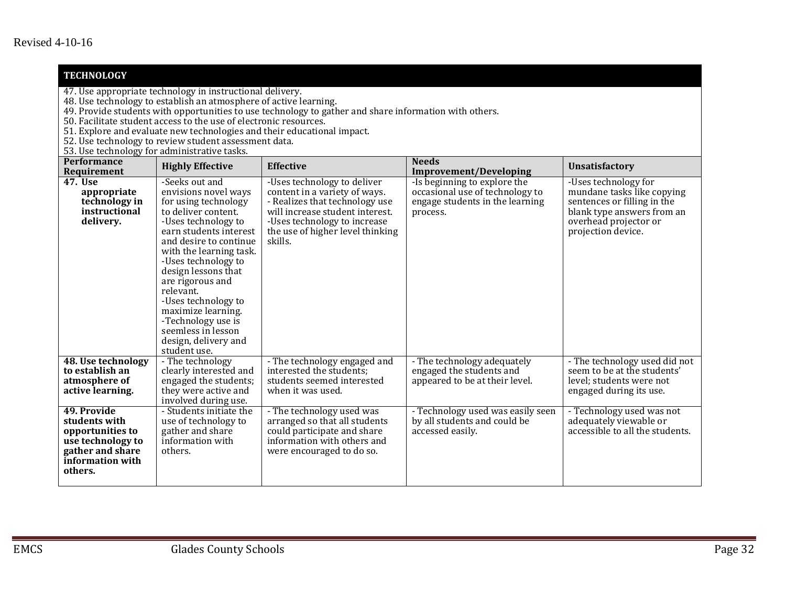### **TECHNOLOGY**

47. Use appropriate technology in instructional delivery.

48. Use technology to establish an atmosphere of active learning.

49. Provide students with opportunities to use technology to gather and share information with others.

50. Facilitate student access to the use of electronic resources.

51. Explore and evaluate new technologies and their educational impact.

52. Use technology to review student assessment data.

53. Use technology for administrative tasks.

| Performance<br>Requirement                                                                                                                          | <b>Highly Effective</b>                                                                                                                                                                                                                                                                                                                                                                                     | <b>Effective</b>                                                                                                                                                                                                                        | <b>Needs</b><br><b>Improvement/Developing</b>                                                                                                                                      | <b>Unsatisfactory</b>                                                                                                                                                                                         |
|-----------------------------------------------------------------------------------------------------------------------------------------------------|-------------------------------------------------------------------------------------------------------------------------------------------------------------------------------------------------------------------------------------------------------------------------------------------------------------------------------------------------------------------------------------------------------------|-----------------------------------------------------------------------------------------------------------------------------------------------------------------------------------------------------------------------------------------|------------------------------------------------------------------------------------------------------------------------------------------------------------------------------------|---------------------------------------------------------------------------------------------------------------------------------------------------------------------------------------------------------------|
| 47. Use<br>appropriate<br>technology in<br>instructional<br>delivery.                                                                               | -Seeks out and<br>envisions novel ways<br>for using technology<br>to deliver content.<br>-Uses technology to<br>earn students interest<br>and desire to continue<br>with the learning task.<br>-Uses technology to<br>design lessons that<br>are rigorous and<br>relevant.<br>-Uses technology to<br>maximize learning.<br>-Technology use is<br>seemless in lesson<br>design, delivery and<br>student use. | -Uses technology to deliver<br>content in a variety of ways.<br>- Realizes that technology use<br>will increase student interest.<br>-Uses technology to increase<br>the use of higher level thinking<br>skills.                        | -Is beginning to explore the<br>occasional use of technology to<br>engage students in the learning<br>process.                                                                     | -Uses technology for<br>mundane tasks like copying<br>sentences or filling in the<br>blank type answers from an<br>overhead projector or<br>projection device.                                                |
| 48. Use technology<br>to establish an<br>atmosphere of<br>active learning.<br>49. Provide<br>students with<br>opportunities to<br>use technology to | - The technology<br>clearly interested and<br>engaged the students;<br>they were active and<br>involved during use.<br>- Students initiate the<br>use of technology to<br>gather and share<br>information with                                                                                                                                                                                              | - The technology engaged and<br>interested the students:<br>students seemed interested<br>when it was used.<br>- The technology used was<br>arranged so that all students<br>could participate and share<br>information with others and | - The technology adequately<br>engaged the students and<br>appeared to be at their level.<br>- Technology used was easily seen<br>by all students and could be<br>accessed easily. | - The technology used did not<br>seem to be at the students'<br>level; students were not<br>engaged during its use.<br>- Technology used was not<br>adequately viewable or<br>accessible to all the students. |
| gather and share<br>information with<br>others.                                                                                                     | others.                                                                                                                                                                                                                                                                                                                                                                                                     | were encouraged to do so.                                                                                                                                                                                                               |                                                                                                                                                                                    |                                                                                                                                                                                                               |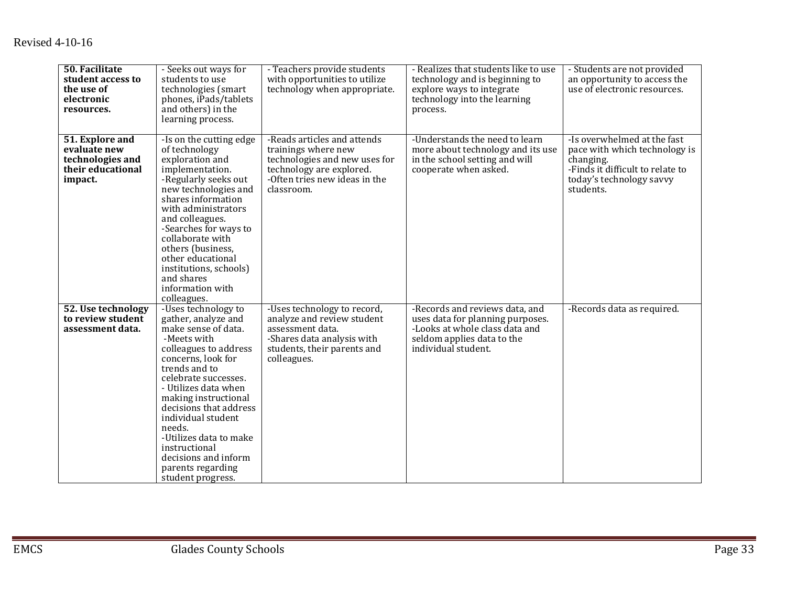| <b>Revised 4-10-16</b> |
|------------------------|
|------------------------|

| <b>50. Facilitate</b><br>student access to<br>the use of<br>electronic<br>resources. | - Seeks out ways for<br>students to use<br>technologies (smart<br>phones, iPads/tablets<br>and others) in the<br>learning process.                                                                                                                                                                                                                                                              | - Teachers provide students<br>with opportunities to utilize<br>technology when appropriate.                                                                   | - Realizes that students like to use<br>technology and is beginning to<br>explore ways to integrate<br>technology into the learning<br>process.           | - Students are not provided<br>an opportunity to access the<br>use of electronic resources.                                                            |
|--------------------------------------------------------------------------------------|-------------------------------------------------------------------------------------------------------------------------------------------------------------------------------------------------------------------------------------------------------------------------------------------------------------------------------------------------------------------------------------------------|----------------------------------------------------------------------------------------------------------------------------------------------------------------|-----------------------------------------------------------------------------------------------------------------------------------------------------------|--------------------------------------------------------------------------------------------------------------------------------------------------------|
| 51. Explore and<br>evaluate new<br>technologies and<br>their educational<br>impact.  | -Is on the cutting edge<br>of technology<br>exploration and<br>implementation.<br>-Regularly seeks out<br>new technologies and<br>shares information<br>with administrators<br>and colleagues.<br>-Searches for ways to<br>collaborate with<br>others (business,<br>other educational<br>institutions, schools)<br>and shares<br>information with<br>colleagues.                                | -Reads articles and attends<br>trainings where new<br>technologies and new uses for<br>technology are explored.<br>-Often tries new ideas in the<br>classroom. | -Understands the need to learn<br>more about technology and its use<br>in the school setting and will<br>cooperate when asked.                            | -Is overwhelmed at the fast<br>pace with which technology is<br>changing.<br>-Finds it difficult to relate to<br>today's technology savvy<br>students. |
| 52. Use technology<br>to review student<br>assessment data.                          | -Uses technology to<br>gather, analyze and<br>make sense of data.<br>-Meets with<br>colleagues to address<br>concerns, look for<br>trends and to<br>celebrate successes.<br>- Utilizes data when<br>making instructional<br>decisions that address<br>individual student<br>needs.<br>-Utilizes data to make<br>instructional<br>decisions and inform<br>parents regarding<br>student progress. | -Uses technology to record,<br>analyze and review student<br>assessment data.<br>-Shares data analysis with<br>students, their parents and<br>colleagues.      | -Records and reviews data, and<br>uses data for planning purposes.<br>-Looks at whole class data and<br>seldom applies data to the<br>individual student. | -Records data as required.                                                                                                                             |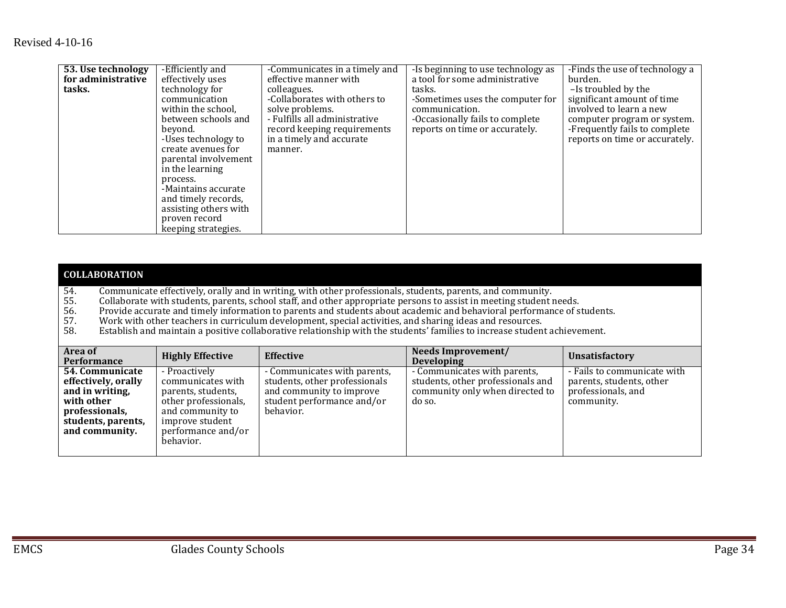| 53. Use technology | -Efficiently and      | -Communicates in a timely and | -Is beginning to use technology as | -Finds the use of technology a |
|--------------------|-----------------------|-------------------------------|------------------------------------|--------------------------------|
| for administrative | effectively uses      | effective manner with         | a tool for some administrative     | burden.                        |
| tasks.             | technology for        | colleagues.                   | tasks.                             | -Is troubled by the            |
|                    | communication         | -Collaborates with others to  | -Sometimes uses the computer for   | significant amount of time     |
|                    | within the school,    | solve problems.               | communication.                     | involved to learn a new        |
|                    | between schools and   | - Fulfills all administrative | -Occasionally fails to complete    | computer program or system.    |
|                    | beyond.               | record keeping requirements   | reports on time or accurately.     | -Frequently fails to complete  |
|                    | -Uses technology to   | in a timely and accurate      |                                    | reports on time or accurately. |
|                    | create avenues for    | manner.                       |                                    |                                |
|                    | parental involvement  |                               |                                    |                                |
|                    | in the learning       |                               |                                    |                                |
|                    | process.              |                               |                                    |                                |
|                    | -Maintains accurate   |                               |                                    |                                |
|                    | and timely records.   |                               |                                    |                                |
|                    | assisting others with |                               |                                    |                                |
|                    | proven record         |                               |                                    |                                |
|                    | keeping strategies.   |                               |                                    |                                |

#### **COLLABORATION**

54. Communicate effectively, orally and in writing, with other professionals, students, parents, and community.<br>55. Collaborate with students, parents, school staff, and other appropriate persons to assist in meeting stude

55. Collaborate with students, parents, school staff, and other appropriate persons to assist in meeting student needs.

- 56. Provide accurate and timely information to parents and students about academic and behavioral performance of students.
- 57. Work with other teachers in curriculum development, special activities, and sharing ideas and resources.
- 58. Establish and maintain a positive collaborative relationship with the students' families to increase student achievement.

| Area of<br><b>Performance</b>                                                                                                     | <b>Highly Effective</b>                                                                                                                                    | <b>Effective</b>                                                                                                                     | Needs Improvement/<br><b>Developing</b>                                                                        | <b>Unsatisfactory</b>                                                                       |
|-----------------------------------------------------------------------------------------------------------------------------------|------------------------------------------------------------------------------------------------------------------------------------------------------------|--------------------------------------------------------------------------------------------------------------------------------------|----------------------------------------------------------------------------------------------------------------|---------------------------------------------------------------------------------------------|
| 54. Communicate<br>effectively, orally<br>and in writing,<br>with other<br>professionals,<br>students, parents,<br>and community. | - Proactively<br>communicates with<br>parents, students,<br>other professionals,<br>and community to<br>improve student<br>performance and/or<br>behavior. | - Communicates with parents,<br>students, other professionals<br>and community to improve<br>student performance and/or<br>behavior. | - Communicates with parents,<br>students, other professionals and<br>community only when directed to<br>do so. | - Fails to communicate with<br>parents, students, other<br>professionals, and<br>community. |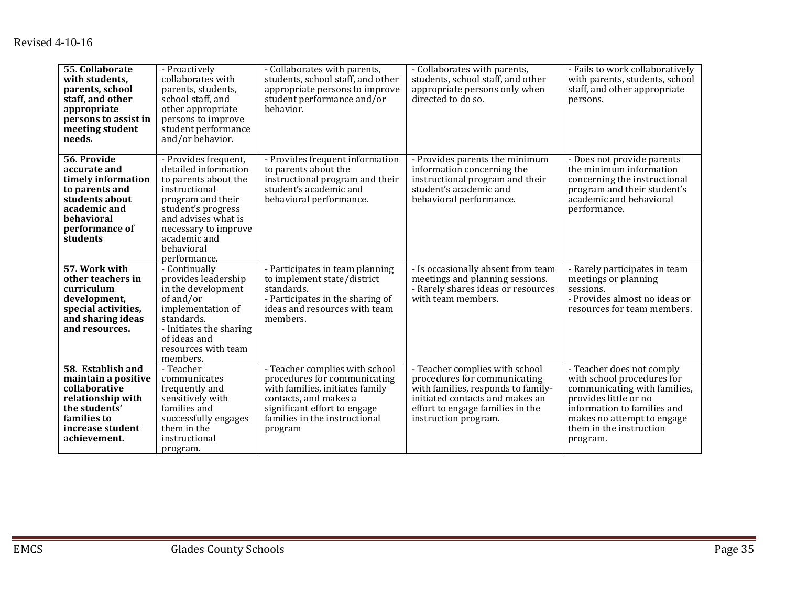| 55. Collaborate<br>with students,<br>parents, school<br>staff, and other<br>appropriate<br>persons to assist in<br>meeting student<br>needs.             | - Proactively<br>collaborates with<br>parents, students,<br>school staff, and<br>other appropriate<br>persons to improve<br>student performance<br>and/or behavior.                                                           | - Collaborates with parents,<br>students, school staff, and other<br>appropriate persons to improve<br>student performance and/or<br>behavior.                                                         | - Collaborates with parents,<br>students, school staff, and other<br>appropriate persons only when<br>directed to do so.                                                                            | - Fails to work collaboratively<br>with parents, students, school<br>staff, and other appropriate<br>persons.                                                                                                        |
|----------------------------------------------------------------------------------------------------------------------------------------------------------|-------------------------------------------------------------------------------------------------------------------------------------------------------------------------------------------------------------------------------|--------------------------------------------------------------------------------------------------------------------------------------------------------------------------------------------------------|-----------------------------------------------------------------------------------------------------------------------------------------------------------------------------------------------------|----------------------------------------------------------------------------------------------------------------------------------------------------------------------------------------------------------------------|
| 56. Provide<br>accurate and<br>timely information<br>to parents and<br>students about<br>academic and<br><b>behavioral</b><br>performance of<br>students | - Provides frequent,<br>detailed information<br>to parents about the<br>instructional<br>program and their<br>student's progress<br>and advises what is<br>necessary to improve<br>academic and<br>behavioral<br>performance. | - Provides frequent information<br>to parents about the<br>instructional program and their<br>student's academic and<br>behavioral performance.                                                        | - Provides parents the minimum<br>information concerning the<br>instructional program and their<br>student's academic and<br>behavioral performance.                                                | - Does not provide parents<br>the minimum information<br>concerning the instructional<br>program and their student's<br>academic and behavioral<br>performance.                                                      |
| 57. Work with<br>other teachers in<br>curriculum<br>development,<br>special activities,<br>and sharing ideas<br>and resources.                           | - Continually<br>provides leadership<br>in the development<br>of and/or<br>implementation of<br>standards.<br>- Initiates the sharing<br>of ideas and<br>resources with team<br>members.                                      | - Participates in team planning<br>to implement state/district<br>standards.<br>- Participates in the sharing of<br>ideas and resources with team<br>members.                                          | - Is occasionally absent from team<br>meetings and planning sessions.<br>- Rarely shares ideas or resources<br>with team members.                                                                   | - Rarely participates in team<br>meetings or planning<br>sessions.<br>- Provides almost no ideas or<br>resources for team members.                                                                                   |
| 58. Establish and<br>maintain a positive<br>collaborative<br>relationship with<br>the students'<br>families to<br>increase student<br>achievement.       | - Teacher<br>communicates<br>frequently and<br>sensitively with<br>families and<br>successfully engages<br>them in the<br>instructional<br>program.                                                                           | - Teacher complies with school<br>procedures for communicating<br>with families, initiates family<br>contacts, and makes a<br>significant effort to engage<br>families in the instructional<br>program | - Teacher complies with school<br>procedures for communicating<br>with families, responds to family-<br>initiated contacts and makes an<br>effort to engage families in the<br>instruction program. | - Teacher does not comply<br>with school procedures for<br>communicating with families,<br>provides little or no<br>information to families and<br>makes no attempt to engage<br>them in the instruction<br>program. |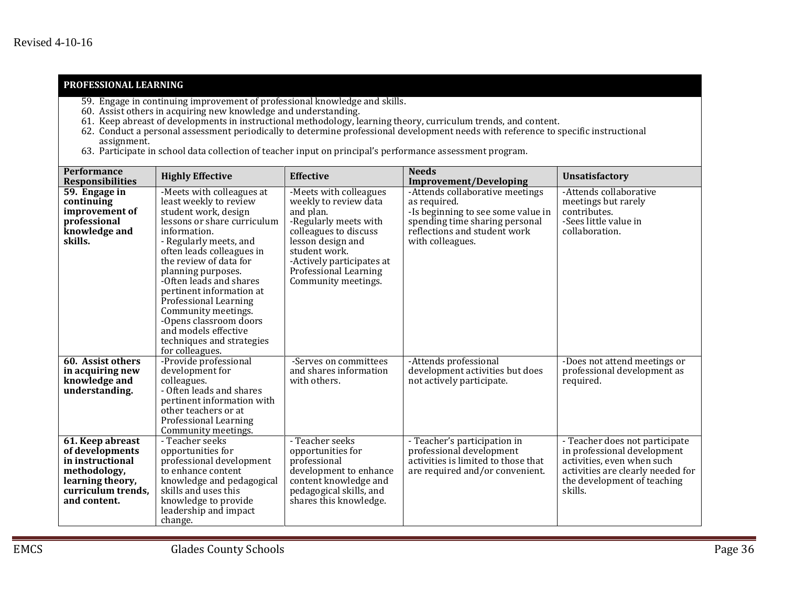#### **PROFESSIONAL LEARNING**

- 59. Engage in continuing improvement of professional knowledge and skills.
- 60. Assist others in acquiring new knowledge and understanding.
- 61. Keep abreast of developments in instructional methodology, learning theory, curriculum trends, and content.
- 62. Conduct a personal assessment periodically to determine professional development needs with reference to specific instructional assignment.
- 63. Participate in school data collection of teacher input on principal's performance assessment program.

| Performance<br><b>Responsibilities</b>                                                                                            | <b>Highly Effective</b>                                                                                                                                                                                                                                                                                                                                                                                                                    | <b>Effective</b>                                                                                                                                                                                                                  | <b>Needs</b><br><b>Improvement/Developing</b>                                                                                                                               | <b>Unsatisfactory</b>                                                                                                                                                      |
|-----------------------------------------------------------------------------------------------------------------------------------|--------------------------------------------------------------------------------------------------------------------------------------------------------------------------------------------------------------------------------------------------------------------------------------------------------------------------------------------------------------------------------------------------------------------------------------------|-----------------------------------------------------------------------------------------------------------------------------------------------------------------------------------------------------------------------------------|-----------------------------------------------------------------------------------------------------------------------------------------------------------------------------|----------------------------------------------------------------------------------------------------------------------------------------------------------------------------|
| 59. Engage in<br>continuing<br>improvement of<br>professional<br>knowledge and<br>skills.                                         | -Meets with colleagues at<br>least weekly to review<br>student work, design<br>lessons or share curriculum<br>information.<br>- Regularly meets, and<br>often leads colleagues in<br>the review of data for<br>planning purposes.<br>-Often leads and shares<br>pertinent information at<br>Professional Learning<br>Community meetings.<br>-Opens classroom doors<br>and models effective<br>techniques and strategies<br>for colleagues. | -Meets with colleagues<br>weekly to review data<br>and plan.<br>-Regularly meets with<br>colleagues to discuss<br>lesson design and<br>student work.<br>-Actively participates at<br>Professional Learning<br>Community meetings. | -Attends collaborative meetings<br>as required.<br>-Is beginning to see some value in<br>spending time sharing personal<br>reflections and student work<br>with colleagues. | -Attends collaborative<br>meetings but rarely<br>contributes.<br>-Sees little value in<br>collaboration.                                                                   |
| 60. Assist others<br>in acquiring new<br>knowledge and<br>understanding.                                                          | -Provide professional<br>development for<br>colleagues.<br>- Often leads and shares<br>pertinent information with<br>other teachers or at<br>Professional Learning<br>Community meetings.                                                                                                                                                                                                                                                  | -Serves on committees<br>and shares information<br>with others.                                                                                                                                                                   | -Attends professional<br>development activities but does<br>not actively participate.                                                                                       | -Does not attend meetings or<br>professional development as<br>required.                                                                                                   |
| 61. Keep abreast<br>of developments<br>in instructional<br>methodology,<br>learning theory,<br>curriculum trends.<br>and content. | - Teacher seeks<br>opportunities for<br>professional development<br>to enhance content<br>knowledge and pedagogical<br>skills and uses this<br>knowledge to provide<br>leadership and impact<br>change.                                                                                                                                                                                                                                    | - Teacher seeks<br>opportunities for<br>professional<br>development to enhance<br>content knowledge and<br>pedagogical skills, and<br>shares this knowledge.                                                                      | - Teacher's participation in<br>professional development<br>activities is limited to those that<br>are required and/or convenient.                                          | - Teacher does not participate<br>in professional development<br>activities, even when such<br>activities are clearly needed for<br>the development of teaching<br>skills. |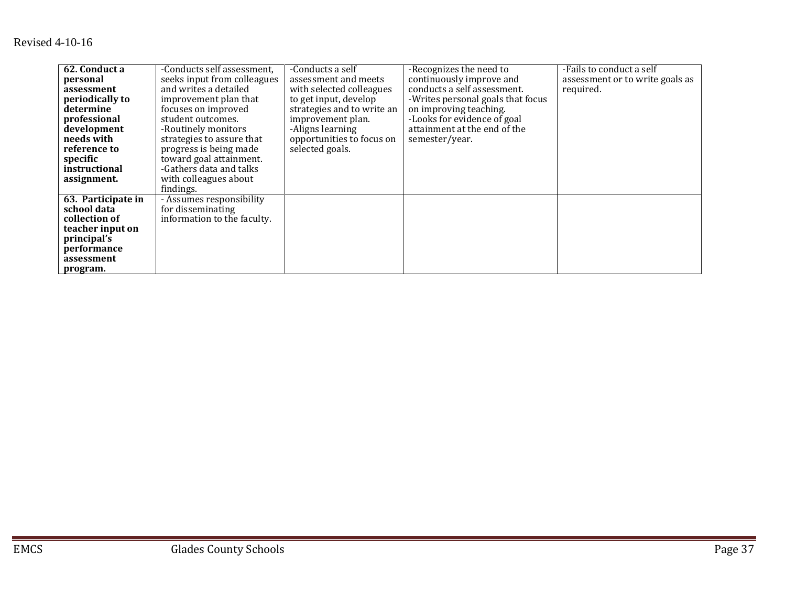| 62. Conduct a<br>personal<br>assessment<br>periodically to<br>determine<br>professional<br>development<br>needs with<br>reference to<br>specific<br>instructional<br>assignment. | -Conducts self assessment,<br>seeks input from colleagues<br>and writes a detailed<br>improvement plan that<br>focuses on improved<br>student outcomes.<br>-Routinely monitors<br>strategies to assure that<br>progress is being made<br>toward goal attainment.<br>-Gathers data and talks<br>with colleagues about | -Conducts a self<br>assessment and meets<br>with selected colleagues<br>to get input, develop<br>strategies and to write an<br>improvement plan.<br>-Aligns learning<br>opportunities to focus on<br>selected goals. | -Recognizes the need to<br>continuously improve and<br>conducts a self assessment.<br>-Writes personal goals that focus<br>on improving teaching.<br>-Looks for evidence of goal<br>attainment at the end of the<br>semester/year. | -Fails to conduct a self<br>assessment or to write goals as<br>required. |
|----------------------------------------------------------------------------------------------------------------------------------------------------------------------------------|----------------------------------------------------------------------------------------------------------------------------------------------------------------------------------------------------------------------------------------------------------------------------------------------------------------------|----------------------------------------------------------------------------------------------------------------------------------------------------------------------------------------------------------------------|------------------------------------------------------------------------------------------------------------------------------------------------------------------------------------------------------------------------------------|--------------------------------------------------------------------------|
| 63. Participate in<br>school data<br>collection of<br>teacher input on<br>principal's<br>performance<br>assessment<br>program.                                                   | findings.<br>- Assumes responsibility<br>for disseminating<br>information to the faculty.                                                                                                                                                                                                                            |                                                                                                                                                                                                                      |                                                                                                                                                                                                                                    |                                                                          |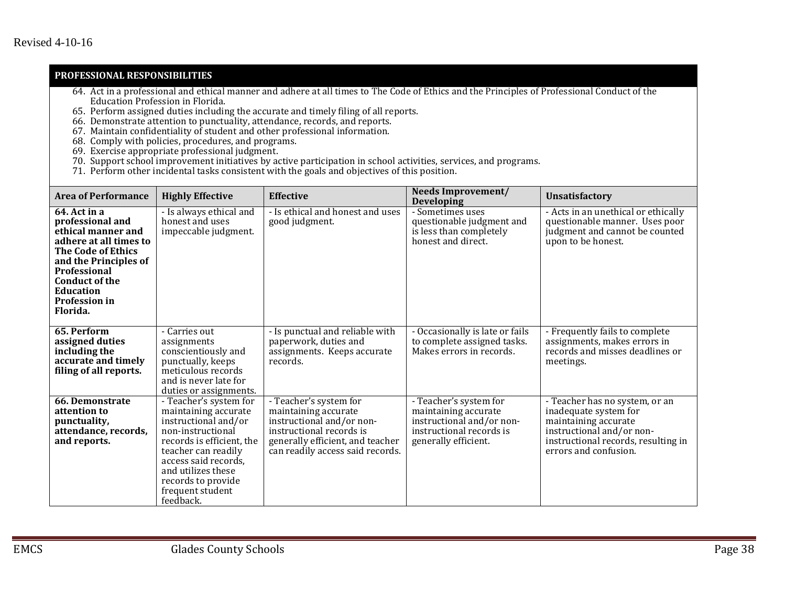#### **PROFESSIONAL RESPONSIBILITIES**

- 64. Act in a professional and ethical manner and adhere at all times to The Code of Ethics and the Principles of Professional Conduct of the Education Profession in Florida.
- 65. Perform assigned duties including the accurate and timely filing of all reports.
- 66. Demonstrate attention to punctuality, attendance, records, and reports.
- 67. Maintain confidentiality of student and other professional information.
- 68. Comply with policies, procedures, and programs.
- 69. Exercise appropriate professional judgment.
- 70. Support school improvement initiatives by active participation in school activities, services, and programs.
- 71. Perform other incidental tasks consistent with the goals and objectives of this position.

| <b>Area of Performance</b>                                                                                                                                                                                                                     | <b>Highly Effective</b>                                                                                                                                                                                                                              | <b>Effective</b>                                                                                                                                                                | Needs Improvement/<br><b>Developing</b>                                                                                         | <b>Unsatisfactory</b>                                                                                                                                                        |
|------------------------------------------------------------------------------------------------------------------------------------------------------------------------------------------------------------------------------------------------|------------------------------------------------------------------------------------------------------------------------------------------------------------------------------------------------------------------------------------------------------|---------------------------------------------------------------------------------------------------------------------------------------------------------------------------------|---------------------------------------------------------------------------------------------------------------------------------|------------------------------------------------------------------------------------------------------------------------------------------------------------------------------|
| 64. Act in a<br>professional and<br>ethical manner and<br>adhere at all times to<br><b>The Code of Ethics</b><br>and the Principles of<br><b>Professional</b><br><b>Conduct of the</b><br><b>Education</b><br><b>Profession in</b><br>Florida. | - Is always ethical and<br>honest and uses<br>impeccable judgment.                                                                                                                                                                                   | - Is ethical and honest and uses<br>good judgment.                                                                                                                              | - Sometimes uses<br>questionable judgment and<br>is less than completely<br>honest and direct.                                  | - Acts in an unethical or ethically<br>questionable manner. Uses poor<br>judgment and cannot be counted<br>upon to be honest.                                                |
| 65. Perform<br>assigned duties<br>including the<br>accurate and timely<br>filing of all reports.                                                                                                                                               | - Carries out<br>assignments<br>conscientiously and<br>punctually, keeps<br>meticulous records<br>and is never late for<br>duties or assignments.                                                                                                    | - Is punctual and reliable with<br>paperwork, duties and<br>assignments. Keeps accurate<br>records.                                                                             | - Occasionally is late or fails<br>to complete assigned tasks.<br>Makes errors in records.                                      | - Frequently fails to complete<br>assignments, makes errors in<br>records and misses deadlines or<br>meetings.                                                               |
| 66. Demonstrate<br>attention to<br>punctuality,<br>attendance, records,<br>and reports.                                                                                                                                                        | - Teacher's system for<br>maintaining accurate<br>instructional and/or<br>non-instructional<br>records is efficient, the<br>teacher can readily<br>access said records.<br>and utilizes these<br>records to provide<br>frequent student<br>feedback. | - Teacher's system for<br>maintaining accurate<br>instructional and/or non-<br>instructional records is<br>generally efficient, and teacher<br>can readily access said records. | - Teacher's system for<br>maintaining accurate<br>instructional and/or non-<br>instructional records is<br>generally efficient. | - Teacher has no system, or an<br>inadequate system for<br>maintaining accurate<br>instructional and/or non-<br>instructional records, resulting in<br>errors and confusion. |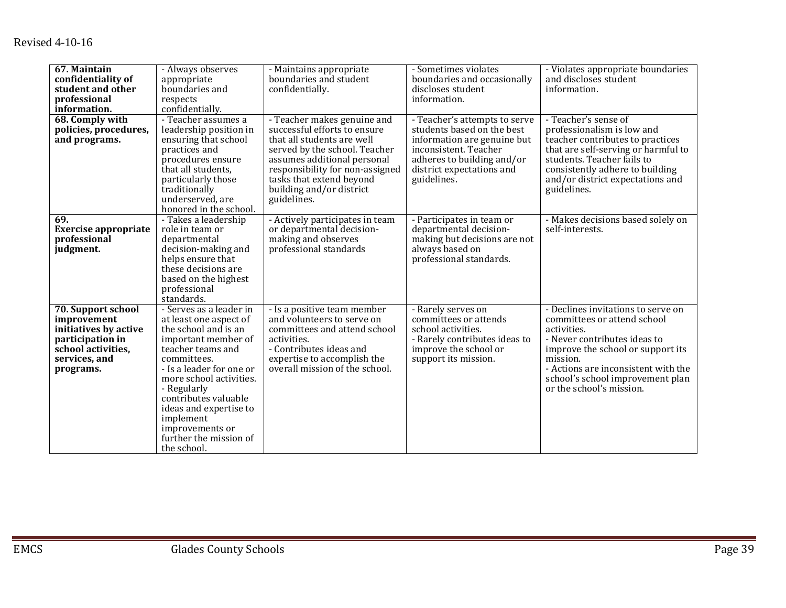| 67. Maintain<br>confidentiality of<br>student and other<br>professional<br>information.                                            | - Always observes<br>appropriate<br>boundaries and<br>respects<br>confidentially.                                                                                                                                                                                                                                                     | - Maintains appropriate<br>boundaries and student<br>confidentially.                                                                                                                                                                                                | - Sometimes violates<br>boundaries and occasionally<br>discloses student<br>information.                                                                                                      | - Violates appropriate boundaries<br>and discloses student<br>information.                                                                                                                                                                                               |
|------------------------------------------------------------------------------------------------------------------------------------|---------------------------------------------------------------------------------------------------------------------------------------------------------------------------------------------------------------------------------------------------------------------------------------------------------------------------------------|---------------------------------------------------------------------------------------------------------------------------------------------------------------------------------------------------------------------------------------------------------------------|-----------------------------------------------------------------------------------------------------------------------------------------------------------------------------------------------|--------------------------------------------------------------------------------------------------------------------------------------------------------------------------------------------------------------------------------------------------------------------------|
| 68. Comply with<br>policies, procedures,<br>and programs.                                                                          | - Teacher assumes a<br>leadership position in<br>ensuring that school<br>practices and<br>procedures ensure<br>that all students,<br>particularly those<br>traditionally<br>underserved, are<br>honored in the school.                                                                                                                | - Teacher makes genuine and<br>successful efforts to ensure<br>that all students are well<br>served by the school. Teacher<br>assumes additional personal<br>responsibility for non-assigned<br>tasks that extend beyond<br>building and/or district<br>guidelines. | - Teacher's attempts to serve<br>students based on the best<br>information are genuine but<br>inconsistent. Teacher<br>adheres to building and/or<br>district expectations and<br>guidelines. | - Teacher's sense of<br>professionalism is low and<br>teacher contributes to practices<br>that are self-serving or harmful to<br>students. Teacher fails to<br>consistently adhere to building<br>and/or district expectations and<br>guidelines.                        |
| 69.<br><b>Exercise appropriate</b><br>professional<br>judgment.                                                                    | - Takes a leadership<br>role in team or<br>departmental<br>decision-making and<br>helps ensure that<br>these decisions are<br>based on the highest<br>professional<br>standards.                                                                                                                                                      | - Actively participates in team<br>or departmental decision-<br>making and observes<br>professional standards                                                                                                                                                       | - Participates in team or<br>departmental decision-<br>making but decisions are not<br>always based on<br>professional standards.                                                             | - Makes decisions based solely on<br>self-interests.                                                                                                                                                                                                                     |
| 70. Support school<br>improvement<br>initiatives by active<br>participation in<br>school activities,<br>services, and<br>programs. | - Serves as a leader in<br>at least one aspect of<br>the school and is an<br>important member of<br>teacher teams and<br>committees.<br>- Is a leader for one or<br>more school activities.<br>- Regularly<br>contributes valuable<br>ideas and expertise to<br>implement<br>improvements or<br>further the mission of<br>the school. | - Is a positive team member<br>and volunteers to serve on<br>committees and attend school<br>activities.<br>- Contributes ideas and<br>expertise to accomplish the<br>overall mission of the school.                                                                | - Rarely serves on<br>committees or attends<br>school activities.<br>- Rarely contributes ideas to<br>improve the school or<br>support its mission.                                           | - Declines invitations to serve on<br>committees or attend school<br>activities.<br>- Never contributes ideas to<br>improve the school or support its<br>mission.<br>- Actions are inconsistent with the<br>school's school improvement plan<br>or the school's mission. |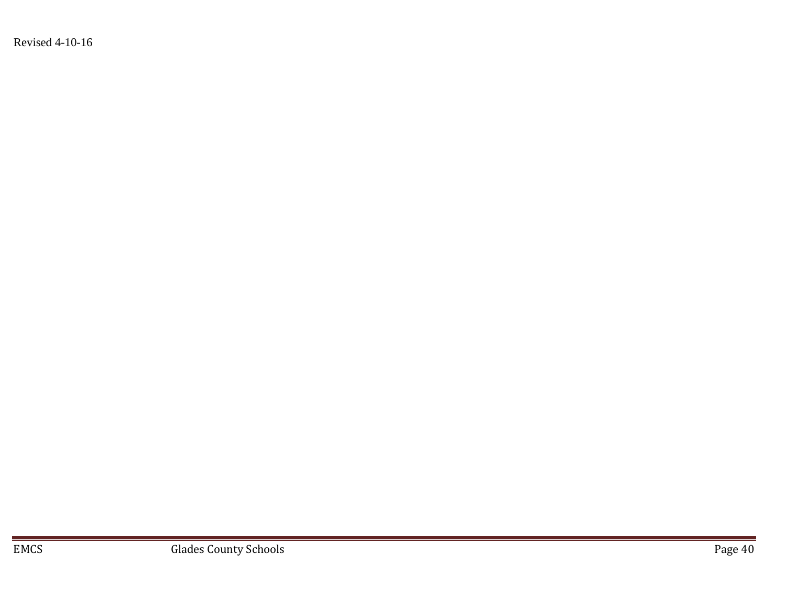Revised 4-10-16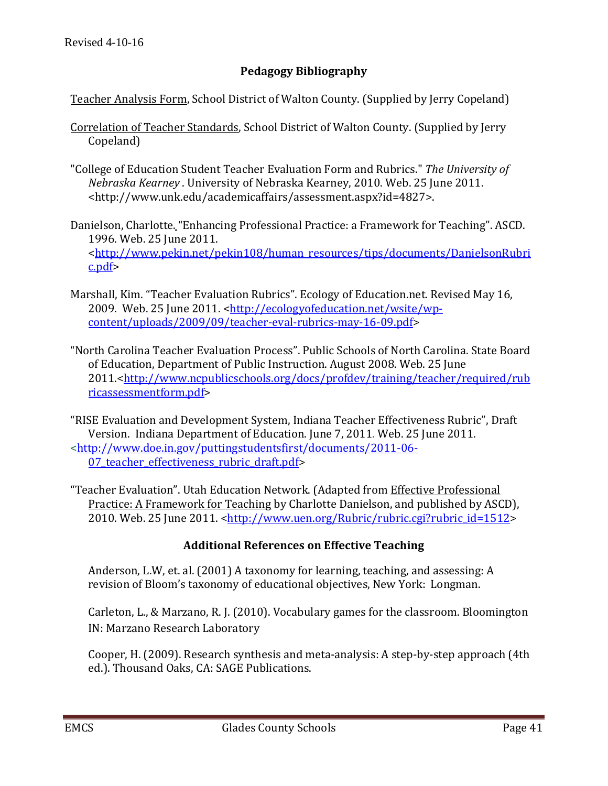### **Pedagogy Bibliography**

Teacher Analysis Form, School District of Walton County. (Supplied by Jerry Copeland)

- Correlation of Teacher Standards, School District of Walton County. (Supplied by Jerry Copeland)
- "College of Education Student Teacher Evaluation Form and Rubrics." *The University of Nebraska Kearney* . University of Nebraska Kearney, 2010. Web. 25 June 2011. [<http://www.unk.edu/academicaffairs/assessment.aspx?](http://www.unk.edu/academicaffairs/assessment.aspx)id=4827>.
- Danielson, Charlotte. "Enhancing Professional Practice: a Framework for Teaching". ASCD. 1996. Web. 25 June 2011. [<http://www.pekin.net/pekin108/human\\_resources/tips/documents/DanielsonRubri](http://www.pekin.net/pekin108/human_resources/tips/documents/DanielsonRubric.pdf)  $c.pdf$
- Marshall, Kim. "Teacher Evaluation Rubrics". Ecology of Education.net. Revised May 16, 2009. Web. 25 June 2011. [<http://ecologyofeducation.net/wsite/wp](http://ecologyofeducation.net/wsite/wp-content/uploads/2009/09/teacher-eval-rubrics-may-16-09.pdf)[content/uploads/2009/09/teacher-eval-rubrics-may-16-09.pdf>](http://ecologyofeducation.net/wsite/wp-content/uploads/2009/09/teacher-eval-rubrics-may-16-09.pdf)
- "North Carolina Teacher Evaluation Process". Public Schools of North Carolina. State Board of Education, Department of Public Instruction. August 2008. Web. 25 June 2011.[<http://www.ncpublicschools.org/docs/profdev/training/teacher/required/rub](http://www.ncpublicschools.org/docs/profdev/training/teacher/required/rubricassessmentform.pdf) [ricassessmentform.pdf>](http://www.ncpublicschools.org/docs/profdev/training/teacher/required/rubricassessmentform.pdf)
- "RISE Evaluation and Development System, Indiana Teacher Effectiveness Rubric", Draft Version. Indiana Department of Education. June 7, 2011. Web. 25 June 2011. [<http://www.doe.in.gov/puttingstudentsfirst/documents/2011-06-](http://www.doe.in.gov/puttingstudentsfirst/documents/2011-06-07_teacher_effectiveness_rubric_draft.pdf) 07 teacher effectiveness rubric draft.pdf>

"Teacher Evaluation". Utah Education Network. (Adapted from Effective Professional Practice: A Framework for Teaching by Charlotte Danielson, and published by ASCD), 2010. Web. 25 June 2011. [<http://www.uen.org/Rubric/rubric.cgi?rubric\\_id=1512>](http://www.uen.org/Rubric/rubric.cgi?rubric_id=1512)

# **Additional References on Effective Teaching**

Anderson, L.W, et. al. (2001) A taxonomy for learning, teaching, and assessing: A revision of Bloom's taxonomy of educational objectives, New York: Longman.

Carleton, L., & Marzano, R. J. (2010). Vocabulary games for the classroom. Bloomington IN: Marzano Research Laboratory

Cooper, H. (2009). Research synthesis and meta-analysis: A step-by-step approach (4th ed.). Thousand Oaks, CA: SAGE Publications.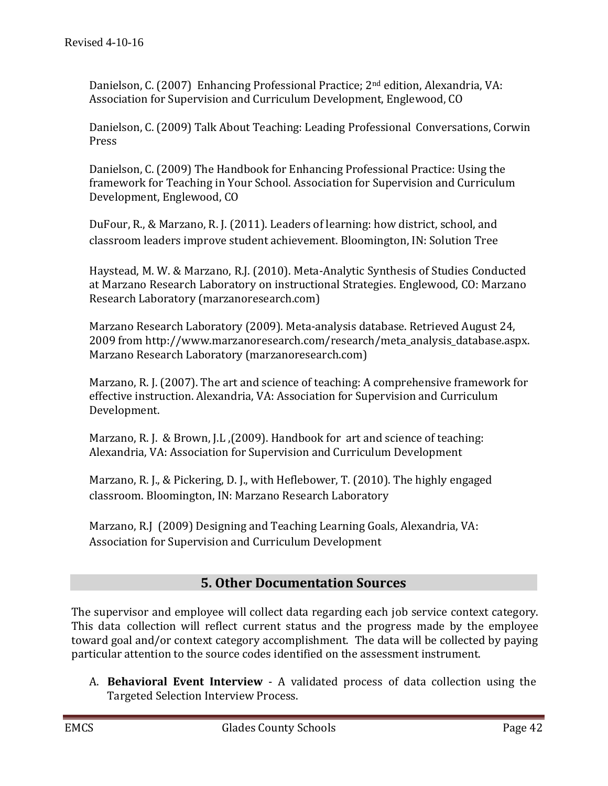Danielson, C. (2007) Enhancing Professional Practice; 2<sup>nd</sup> edition, Alexandria, VA: Association for Supervision and Curriculum Development, Englewood, CO

Danielson, C. (2009) Talk About Teaching: Leading Professional Conversations, Corwin Press

Danielson, C. (2009) The Handbook for Enhancing Professional Practice: Using the framework for Teaching in Your School. Association for Supervision and Curriculum Development, Englewood, CO

DuFour, R., & Marzano, R. J. (2011). Leaders of learning: how district, school, and classroom leaders improve student achievement. Bloomington, IN: Solution Tree

Haystead, M. W. & Marzano, R.J. (2010). Meta-Analytic Synthesis of Studies Conducted at Marzano Research Laboratory on instructional Strategies. Englewood, CO: Marzano Research Laboratory (marzanoresearch.com)

Marzano Research Laboratory (2009). Meta-analysis database. Retrieved August 24, 2009 from [http://www.marzanoresearch.com/research/meta\\_analysis\\_database.aspx.](http://www.marzanoresearch.com/research/meta_analysis_database.aspx) Marzano Research Laboratory (marzanoresearch.com)

Marzano, R. J. (2007). The art and science of teaching: A comprehensive framework for effective instruction. Alexandria, VA: Association for Supervision and Curriculum Development.

Marzano, R. J. & Brown, J.L. (2009). Handbook for art and science of teaching: Alexandria, VA: Association for Supervision and Curriculum Development

Marzano, R. J., & Pickering, D. J., with Heflebower, T. (2010). The highly engaged classroom. Bloomington, IN: Marzano Research Laboratory

Marzano, R.J (2009) Designing and Teaching Learning Goals, Alexandria, VA: Association for Supervision and Curriculum Development

# **5. Other Documentation Sources**

The supervisor and employee will collect data regarding each job service context category. This data collection will reflect current status and the progress made by the employee toward goal and/or context category accomplishment. The data will be collected by paying particular attention to the source codes identified on the assessment instrument.

A. **Behavioral Event Interview** - A validated process of data collection using the Targeted Selection Interview Process.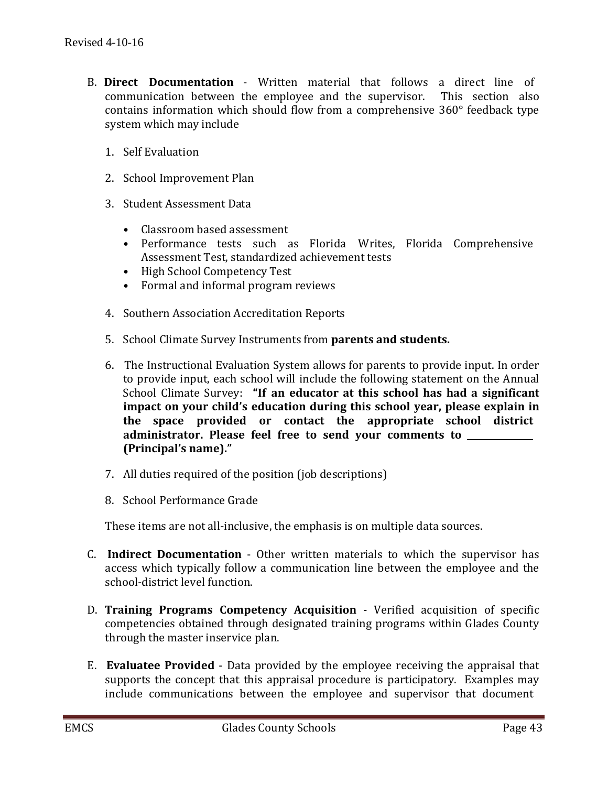- B. **Direct Documentation** Written material that follows a direct line of communication between the employee and the supervisor. This section also contains information which should flow from a comprehensive 360° feedback type system which may include
	- 1. Self Evaluation
	- 2. School Improvement Plan
	- 3. Student Assessment Data
		- Classroom based assessment
		- Performance tests such as Florida Writes, Florida Comprehensive Assessment Test, standardized achievement tests
		- High School Competency Test
		- Formal and informal program reviews
	- 4. Southern Association Accreditation Reports
	- 5. School Climate Survey Instruments from **parents and students.**
	- 6. The Instructional Evaluation System allows for parents to provide input. In order to provide input, each school will include the following statement on the Annual School Climate Survey: **"If an educator at this school has had a significant impact on your child's education during this school year, please explain in the space provided or contact the appropriate school district administrator. Please feel free to send your comments to (Principal's name)."**
	- 7. All duties required of the position (job descriptions)
	- 8. School Performance Grade

These items are not all-inclusive, the emphasis is on multiple data sources.

- C. **Indirect Documentation** Other written materials to which the supervisor has access which typically follow a communication line between the employee and the school-district level function.
- D. **Training Programs Competency Acquisition**  Verified acquisition of specific competencies obtained through designated training programs within Glades County through the master inservice plan.
- E. **Evaluatee Provided** Data provided by the employee receiving the appraisal that supports the concept that this appraisal procedure is participatory. Examples may include communications between the employee and supervisor that document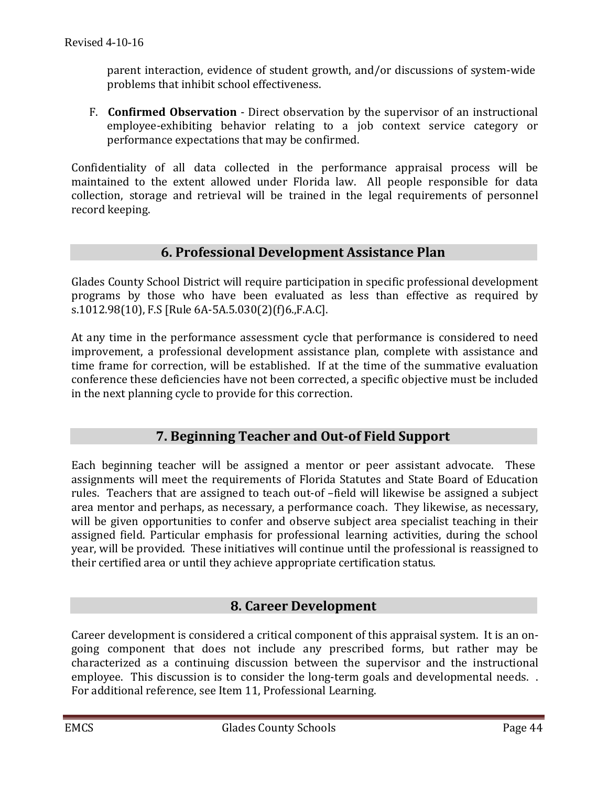parent interaction, evidence of student growth, and/or discussions of system-wide problems that inhibit school effectiveness.

F. **Confirmed Observation** - Direct observation by the supervisor of an instructional employee-exhibiting behavior relating to a job context service category or performance expectations that may be confirmed.

Confidentiality of all data collected in the performance appraisal process will be maintained to the extent allowed under Florida law. All people responsible for data collection, storage and retrieval will be trained in the legal requirements of personnel record keeping.

### **6. Professional Development Assistance Plan**

Glades County School District will require participation in specific professional development programs by those who have been evaluated as less than effective as required by s.1012.98(10), F.S [Rule 6A-5A.5.030(2)(f)6.,F.A.C].

At any time in the performance assessment cycle that performance is considered to need improvement, a professional development assistance plan, complete with assistance and time frame for correction, will be established. If at the time of the summative evaluation conference these deficiencies have not been corrected, a specific objective must be included in the next planning cycle to provide for this correction.

# **7. Beginning Teacher and Out-of Field Support**

Each beginning teacher will be assigned a mentor or peer assistant advocate. These assignments will meet the requirements of Florida Statutes and State Board of Education rules. Teachers that are assigned to teach out-of –field will likewise be assigned a subject area mentor and perhaps, as necessary, a performance coach. They likewise, as necessary, will be given opportunities to confer and observe subject area specialist teaching in their assigned field. Particular emphasis for professional learning activities, during the school year, will be provided. These initiatives will continue until the professional is reassigned to their certified area or until they achieve appropriate certification status.

### **8. Career Development**

Career development is considered a critical component of this appraisal system. It is an ongoing component that does not include any prescribed forms, but rather may be characterized as a continuing discussion between the supervisor and the instructional employee. This discussion is to consider the long-term goals and developmental needs. . For additional reference, see Item 11, Professional Learning.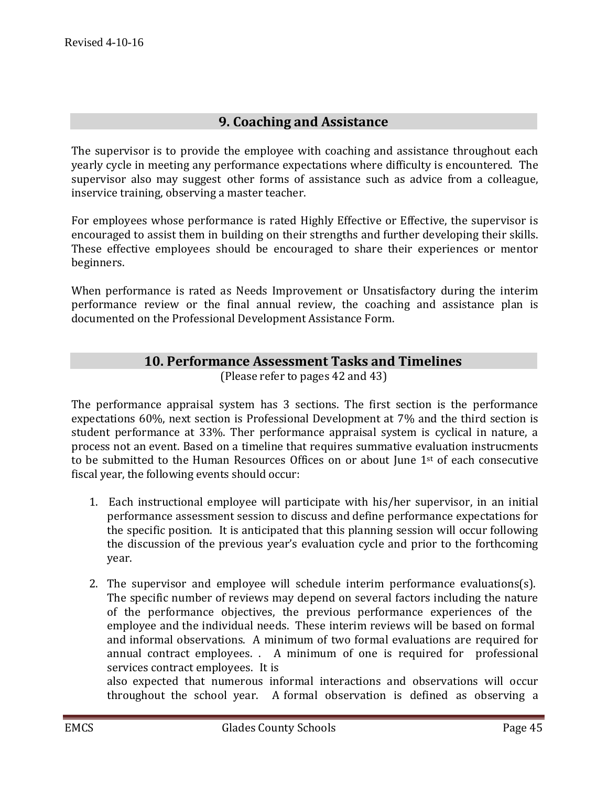### **9. Coaching and Assistance**

The supervisor is to provide the employee with coaching and assistance throughout each yearly cycle in meeting any performance expectations where difficulty is encountered. The supervisor also may suggest other forms of assistance such as advice from a colleague, inservice training, observing a master teacher.

For employees whose performance is rated Highly Effective or Effective, the supervisor is encouraged to assist them in building on their strengths and further developing their skills. These effective employees should be encouraged to share their experiences or mentor beginners.

When performance is rated as Needs Improvement or Unsatisfactory during the interim performance review or the final annual review, the coaching and assistance plan is documented on the Professional Development Assistance Form.

### **10. Performance Assessment Tasks and Timelines**

(Please refer to pages 42 and 43)

The performance appraisal system has 3 sections. The first section is the performance expectations 60%, next section is Professional Development at 7% and the third section is student performance at 33%. Ther performance appraisal system is cyclical in nature, a process not an event. Based on a timeline that requires summative evaluation instrucments to be submitted to the Human Resources Offices on or about June 1st of each consecutive fiscal year, the following events should occur:

- 1. Each instructional employee will participate with his/her supervisor, in an initial performance assessment session to discuss and define performance expectations for the specific position. It is anticipated that this planning session will occur following the discussion of the previous year's evaluation cycle and prior to the forthcoming year.
- 2. The supervisor and employee will schedule interim performance evaluations(s). The specific number of reviews may depend on several factors including the nature of the performance objectives, the previous performance experiences of the employee and the individual needs. These interim reviews will be based on formal and informal observations. A minimum of two formal evaluations are required for annual contract employees. . A minimum of one is required for professional services contract employees. It is

also expected that numerous informal interactions and observations will occur throughout the school year. A formal observation is defined as observing a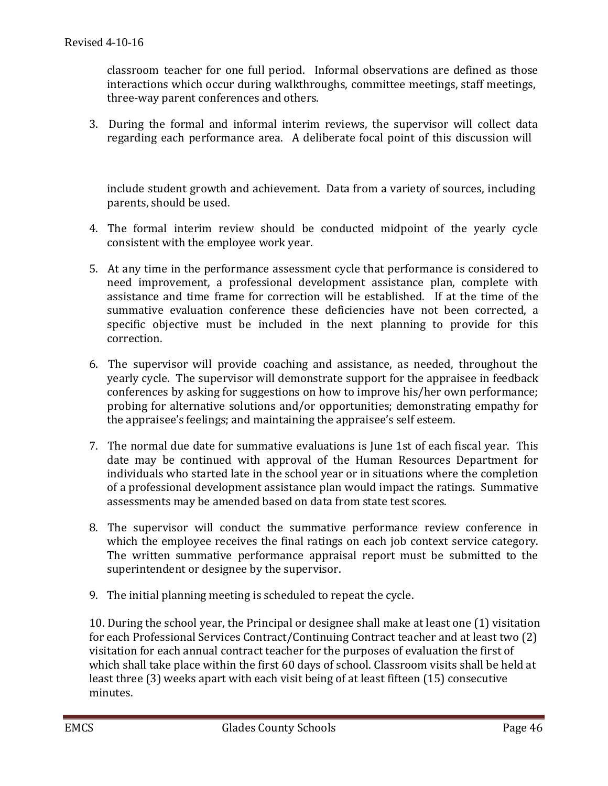classroom teacher for one full period. Informal observations are defined as those interactions which occur during walkthroughs, committee meetings, staff meetings, three-way parent conferences and others.

3. During the formal and informal interim reviews, the supervisor will collect data regarding each performance area. A deliberate focal point of this discussion will

include student growth and achievement. Data from a variety of sources, including parents, should be used.

- 4. The formal interim review should be conducted midpoint of the yearly cycle consistent with the employee work year.
- 5. At any time in the performance assessment cycle that performance is considered to need improvement, a professional development assistance plan, complete with assistance and time frame for correction will be established. If at the time of the summative evaluation conference these deficiencies have not been corrected, a specific objective must be included in the next planning to provide for this correction.
- 6. The supervisor will provide coaching and assistance, as needed, throughout the yearly cycle. The supervisor will demonstrate support for the appraisee in feedback conferences by asking for suggestions on how to improve his/her own performance; probing for alternative solutions and/or opportunities; demonstrating empathy for the appraisee's feelings; and maintaining the appraisee's self esteem.
- 7. The normal due date for summative evaluations is June 1st of each fiscal year. This date may be continued with approval of the Human Resources Department for individuals who started late in the school year or in situations where the completion of a professional development assistance plan would impact the ratings. Summative assessments may be amended based on data from state test scores.
- 8. The supervisor will conduct the summative performance review conference in which the employee receives the final ratings on each job context service category. The written summative performance appraisal report must be submitted to the superintendent or designee by the supervisor.
- 9. The initial planning meeting is scheduled to repeat the cycle.

10. During the school year, the Principal or designee shall make at least one (1) visitation for each Professional Services Contract/Continuing Contract teacher and at least two (2) visitation for each annual contract teacher for the purposes of evaluation the first of which shall take place within the first 60 days of school. Classroom visits shall be held at least three (3) weeks apart with each visit being of at least fifteen (15) consecutive minutes.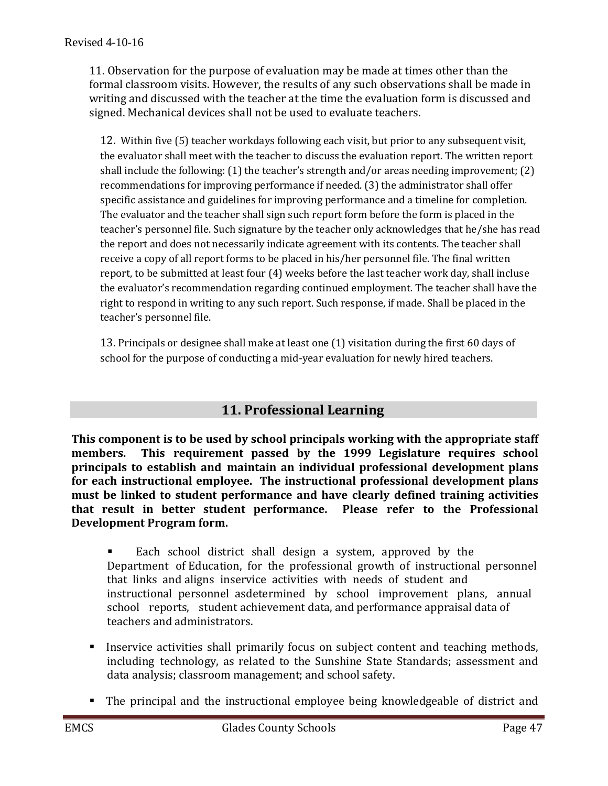11. Observation for the purpose of evaluation may be made at times other than the formal classroom visits. However, the results of any such observations shall be made in writing and discussed with the teacher at the time the evaluation form is discussed and signed. Mechanical devices shall not be used to evaluate teachers.

12. Within five (5) teacher workdays following each visit, but prior to any subsequent visit, the evaluator shall meet with the teacher to discuss the evaluation report. The written report shall include the following: (1) the teacher's strength and/or areas needing improvement; (2) recommendations for improving performance if needed. (3) the administrator shall offer specific assistance and guidelines for improving performance and a timeline for completion. The evaluator and the teacher shall sign such report form before the form is placed in the teacher's personnel file. Such signature by the teacher only acknowledges that he/she has read the report and does not necessarily indicate agreement with its contents. The teacher shall receive a copy of all report forms to be placed in his/her personnel file. The final written report, to be submitted at least four (4) weeks before the last teacher work day, shall incluse the evaluator's recommendation regarding continued employment. The teacher shall have the right to respond in writing to any such report. Such response, if made. Shall be placed in the teacher's personnel file.

13. Principals or designee shall make at least one (1) visitation during the first 60 days of school for the purpose of conducting a mid-year evaluation for newly hired teachers.

# **11. Professional Learning**

**This component is to be used by school principals working with the appropriate staff members. This requirement passed by the 1999 Legislature requires school principals to establish and maintain an individual professional development plans for each instructional employee. The instructional professional development plans must be linked to student performance and have clearly defined training activities that result in better student performance. Please refer to the Professional Development Program form.**

- Each school district shall design a system, approved by the Department of Education, for the professional growth of instructional personnel that links and aligns inservice activities with needs of student and instructional personnel asdetermined by school improvement plans, annual school reports, student achievement data, and performance appraisal data of teachers and administrators.
- Inservice activities shall primarily focus on subject content and teaching methods, including technology, as related to the Sunshine State Standards; assessment and data analysis; classroom management; and school safety.
- The principal and the instructional employee being knowledgeable of district and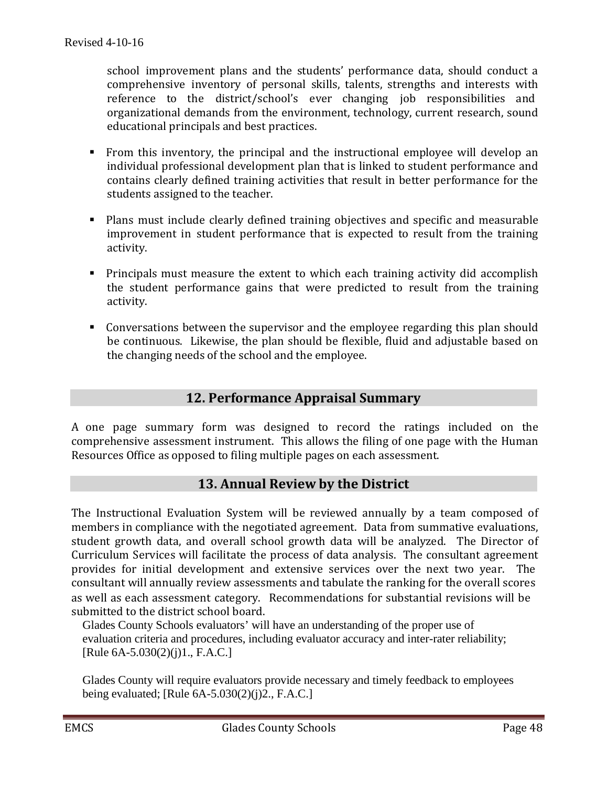school improvement plans and the students' performance data, should conduct a comprehensive inventory of personal skills, talents, strengths and interests with reference to the district/school's ever changing job responsibilities and organizational demands from the environment, technology, current research, sound educational principals and best practices.

- From this inventory, the principal and the instructional employee will develop an individual professional development plan that is linked to student performance and contains clearly defined training activities that result in better performance for the students assigned to the teacher.
- Plans must include clearly defined training objectives and specific and measurable improvement in student performance that is expected to result from the training activity.
- **Principals must measure the extent to which each training activity did accomplish** the student performance gains that were predicted to result from the training activity.
- Conversations between the supervisor and the employee regarding this plan should be continuous. Likewise, the plan should be flexible, fluid and adjustable based on the changing needs of the school and the employee.

### **12. Performance Appraisal Summary**

A one page summary form was designed to record the ratings included on the comprehensive assessment instrument. This allows the filing of one page with the Human Resources Office as opposed to filing multiple pages on each assessment.

### **13. Annual Review by the District**

The Instructional Evaluation System will be reviewed annually by a team composed of members in compliance with the negotiated agreement. Data from summative evaluations, student growth data, and overall school growth data will be analyzed. The Director of Curriculum Services will facilitate the process of data analysis. The consultant agreement provides for initial development and extensive services over the next two year. The consultant will annually review assessments and tabulate the ranking for the overall scores as well as each assessment category. Recommendations for substantial revisions will be submitted to the district school board.

Glades County Schools evaluators' will have an understanding of the proper use of evaluation criteria and procedures, including evaluator accuracy and inter-rater reliability; [Rule 6A-5.030(2)(j)1., F.A.C.]

Glades County will require evaluators provide necessary and timely feedback to employees being evaluated; [Rule  $6A-5.030(2)(i)2$ ., F.A.C.]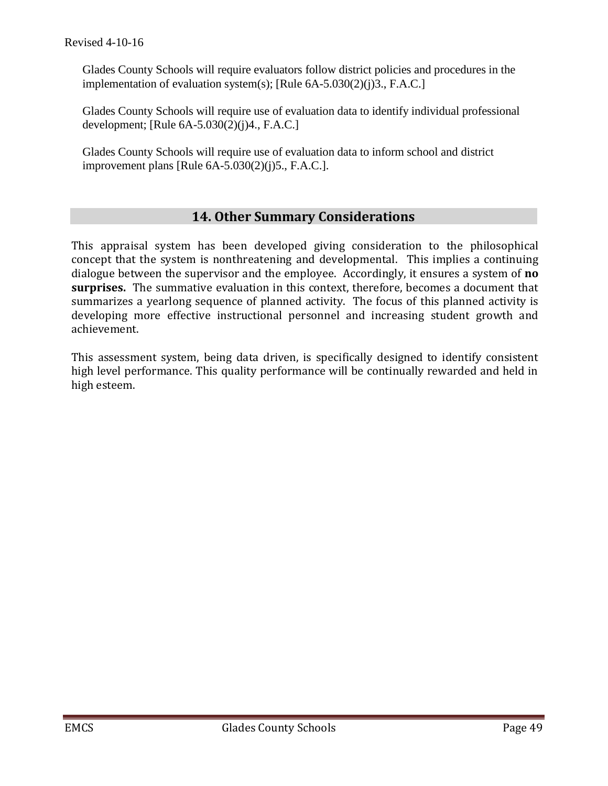Glades County Schools will require evaluators follow district policies and procedures in the implementation of evaluation system(s); [Rule 6A-5.030(2)(j)3., F.A.C.]

Glades County Schools will require use of evaluation data to identify individual professional development; [Rule 6A-5.030(2)(j)4., F.A.C.]

Glades County Schools will require use of evaluation data to inform school and district improvement plans [Rule 6A-5.030(2)(j)5., F.A.C.].

# **14. Other Summary Considerations**

This appraisal system has been developed giving consideration to the philosophical concept that the system is nonthreatening and developmental. This implies a continuing dialogue between the supervisor and the employee. Accordingly, it ensures a system of **no surprises.** The summative evaluation in this context, therefore, becomes a document that summarizes a yearlong sequence of planned activity. The focus of this planned activity is developing more effective instructional personnel and increasing student growth and achievement.

This assessment system, being data driven, is specifically designed to identify consistent high level performance. This quality performance will be continually rewarded and held in high esteem.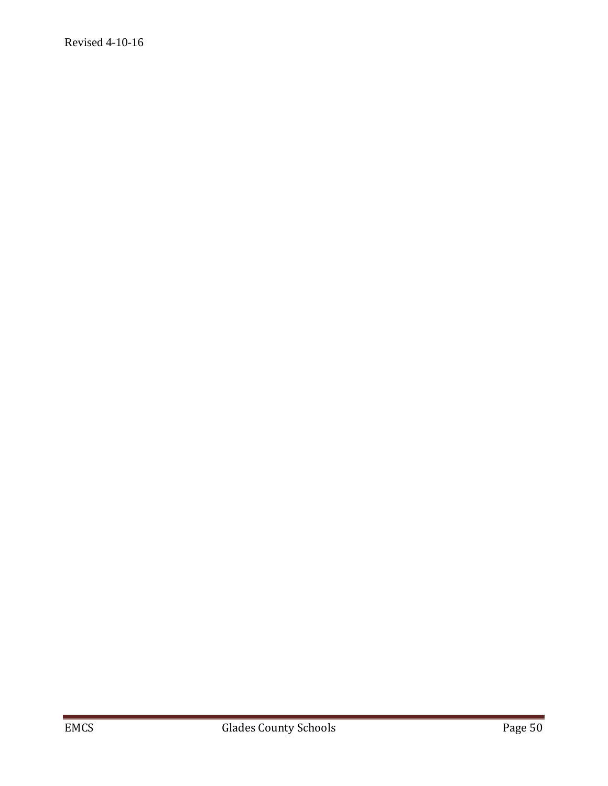Revised 4-10-16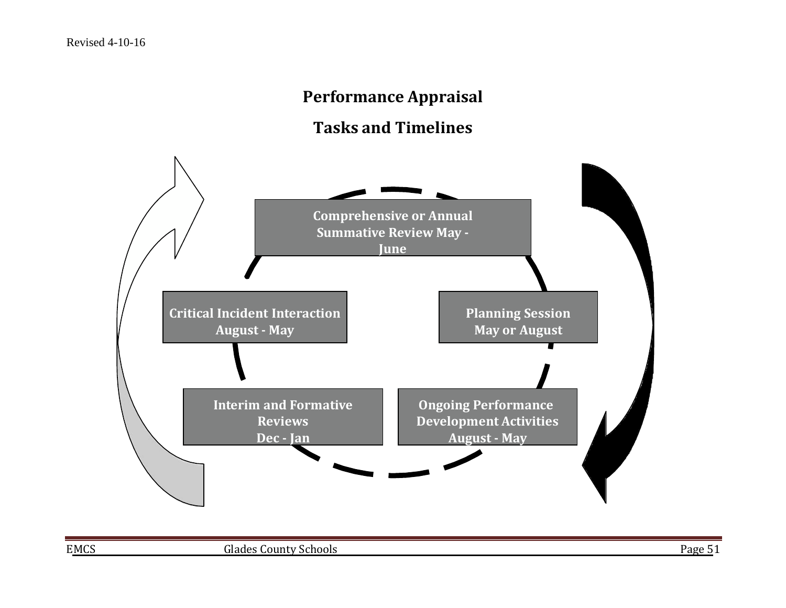# **Performance Appraisal**

# **Tasks and Timelines**

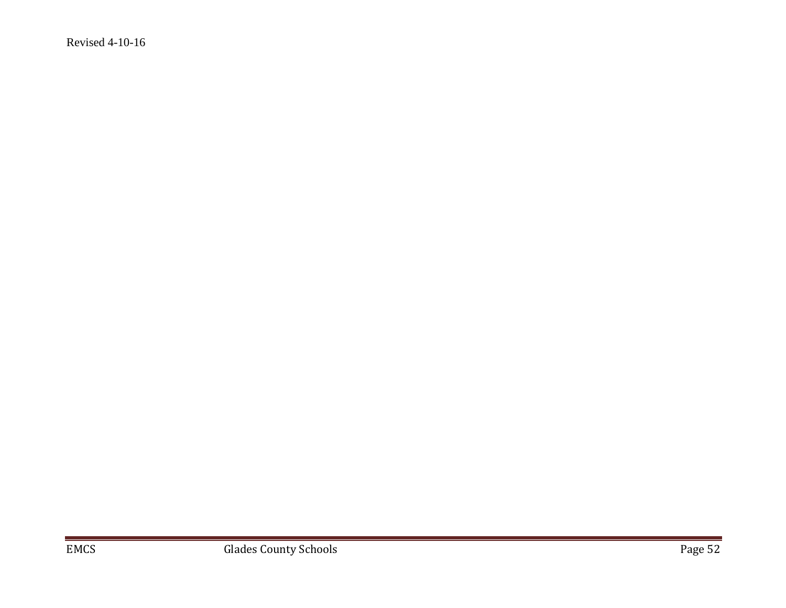Revised 4-10-16